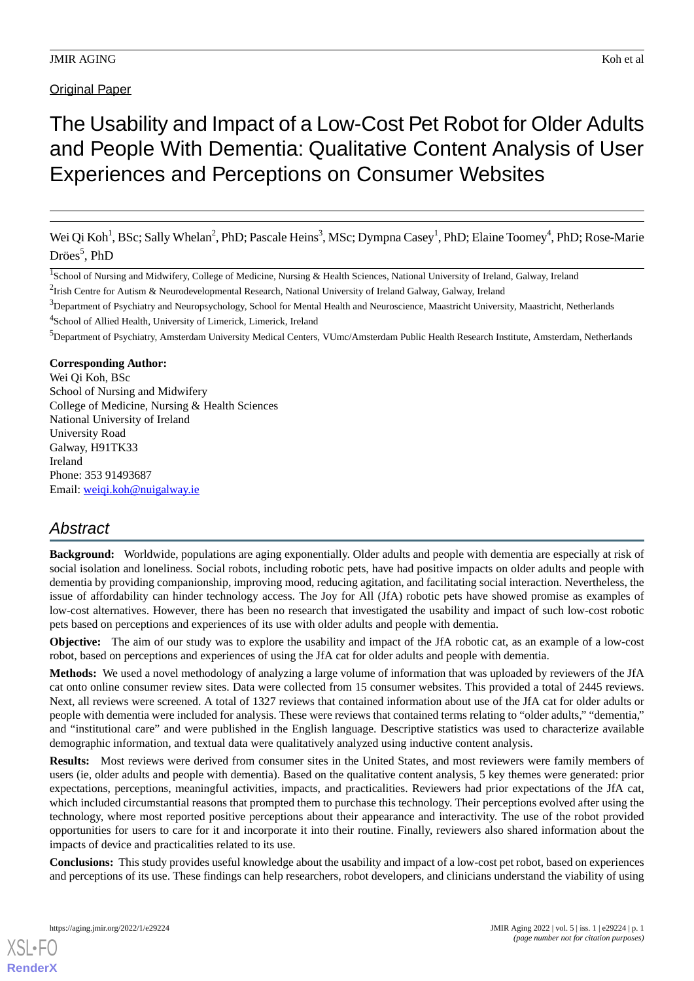# The Usability and Impact of a Low-Cost Pet Robot for Older Adults and People With Dementia: Qualitative Content Analysis of User Experiences and Perceptions on Consumer Websites

Wei Qi Koh<sup>1</sup>, BSc; Sally Whelan<sup>2</sup>, PhD; Pascale Heins<sup>3</sup>, MSc; Dympna Casey<sup>1</sup>, PhD; Elaine Toomey<sup>4</sup>, PhD; Rose-Marie Dröes<sup>5</sup>, PhD

<sup>3</sup>Department of Psychiatry and Neuropsychology, School for Mental Health and Neuroscience, Maastricht University, Maastricht, Netherlands 4 School of Allied Health, University of Limerick, Limerick, Ireland

<sup>5</sup>Department of Psychiatry, Amsterdam University Medical Centers, VUmc/Amsterdam Public Health Research Institute, Amsterdam, Netherlands

### **Corresponding Author:**

Wei Qi Koh, BSc School of Nursing and Midwifery College of Medicine, Nursing & Health Sciences National University of Ireland University Road Galway, H91TK33 Ireland Phone: 353 91493687 Email: [weiqi.koh@nuigalway.ie](mailto:weiqi.koh@nuigalway.ie)

# *Abstract*

**Background:** Worldwide, populations are aging exponentially. Older adults and people with dementia are especially at risk of social isolation and loneliness. Social robots, including robotic pets, have had positive impacts on older adults and people with dementia by providing companionship, improving mood, reducing agitation, and facilitating social interaction. Nevertheless, the issue of affordability can hinder technology access. The Joy for All (JfA) robotic pets have showed promise as examples of low-cost alternatives. However, there has been no research that investigated the usability and impact of such low-cost robotic pets based on perceptions and experiences of its use with older adults and people with dementia.

**Objective:** The aim of our study was to explore the usability and impact of the JfA robotic cat, as an example of a low-cost robot, based on perceptions and experiences of using the JfA cat for older adults and people with dementia.

**Methods:** We used a novel methodology of analyzing a large volume of information that was uploaded by reviewers of the JfA cat onto online consumer review sites. Data were collected from 15 consumer websites. This provided a total of 2445 reviews. Next, all reviews were screened. A total of 1327 reviews that contained information about use of the JfA cat for older adults or people with dementia were included for analysis. These were reviews that contained terms relating to "older adults," "dementia," and "institutional care" and were published in the English language. Descriptive statistics was used to characterize available demographic information, and textual data were qualitatively analyzed using inductive content analysis.

**Results:** Most reviews were derived from consumer sites in the United States, and most reviewers were family members of users (ie, older adults and people with dementia). Based on the qualitative content analysis, 5 key themes were generated: prior expectations, perceptions, meaningful activities, impacts, and practicalities. Reviewers had prior expectations of the JfA cat, which included circumstantial reasons that prompted them to purchase this technology. Their perceptions evolved after using the technology, where most reported positive perceptions about their appearance and interactivity. The use of the robot provided opportunities for users to care for it and incorporate it into their routine. Finally, reviewers also shared information about the impacts of device and practicalities related to its use.

**Conclusions:** This study provides useful knowledge about the usability and impact of a low-cost pet robot, based on experiences and perceptions of its use. These findings can help researchers, robot developers, and clinicians understand the viability of using

<sup>&</sup>lt;sup>1</sup>School of Nursing and Midwifery, College of Medicine, Nursing & Health Sciences, National University of Ireland, Galway, Ireland

 $^{2}$ Irish Centre for Autism & Neurodevelopmental Research, National University of Ireland Galway, Galway, Ireland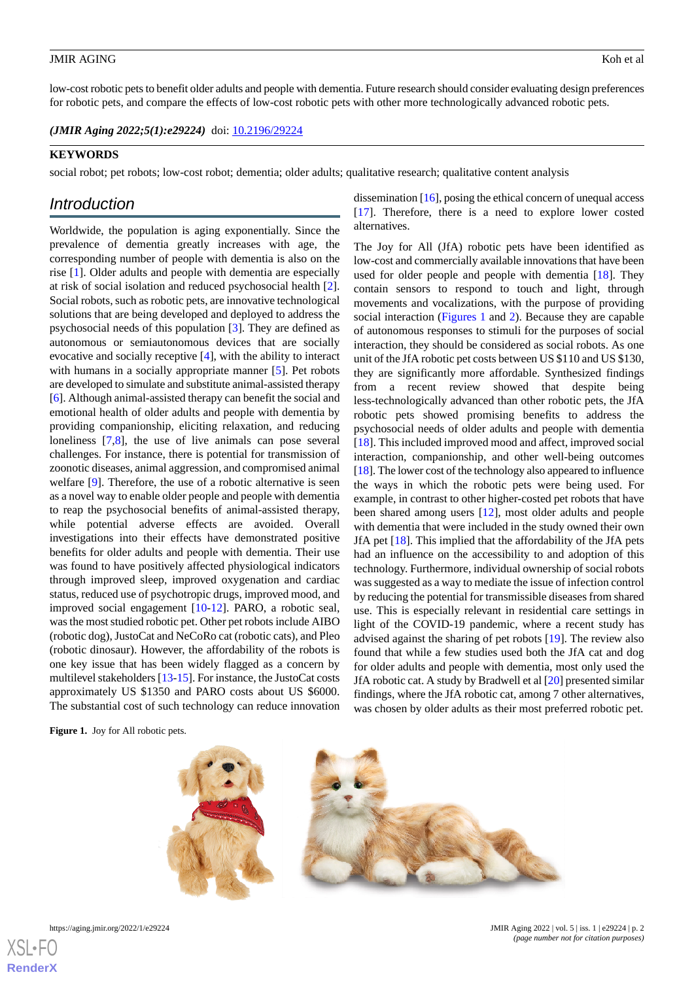low-cost robotic pets to benefit older adults and people with dementia. Future research should consider evaluating design preferences for robotic pets, and compare the effects of low-cost robotic pets with other more technologically advanced robotic pets.

*(JMIR Aging 2022;5(1):e29224)* doi: [10.2196/29224](http://dx.doi.org/10.2196/29224)

#### **KEYWORDS**

social robot; pet robots; low-cost robot; dementia; older adults; qualitative research; qualitative content analysis

# *Introduction*

Worldwide, the population is aging exponentially. Since the prevalence of dementia greatly increases with age, the corresponding number of people with dementia is also on the rise [\[1](#page-12-0)]. Older adults and people with dementia are especially at risk of social isolation and reduced psychosocial health [[2\]](#page-12-1). Social robots, such as robotic pets, are innovative technological solutions that are being developed and deployed to address the psychosocial needs of this population [\[3](#page-12-2)]. They are defined as autonomous or semiautonomous devices that are socially evocative and socially receptive [\[4](#page-12-3)], with the ability to interact with humans in a socially appropriate manner [\[5\]](#page-12-4). Pet robots are developed to simulate and substitute animal-assisted therapy [[6\]](#page-12-5). Although animal-assisted therapy can benefit the social and emotional health of older adults and people with dementia by providing companionship, eliciting relaxation, and reducing loneliness [\[7](#page-12-6),[8\]](#page-12-7), the use of live animals can pose several challenges. For instance, there is potential for transmission of zoonotic diseases, animal aggression, and compromised animal welfare [[9\]](#page-12-8). Therefore, the use of a robotic alternative is seen as a novel way to enable older people and people with dementia to reap the psychosocial benefits of animal-assisted therapy, while potential adverse effects are avoided. Overall investigations into their effects have demonstrated positive benefits for older adults and people with dementia. Their use was found to have positively affected physiological indicators through improved sleep, improved oxygenation and cardiac status, reduced use of psychotropic drugs, improved mood, and improved social engagement [[10-](#page-12-9)[12\]](#page-12-10). PARO, a robotic seal, was the most studied robotic pet. Other pet robots include AIBO (robotic dog), JustoCat and NeCoRo cat (robotic cats), and Pleo (robotic dinosaur). However, the affordability of the robots is one key issue that has been widely flagged as a concern by multilevel stakeholders [[13-](#page-12-11)[15\]](#page-12-12). For instance, the JustoCat costs approximately US \$1350 and PARO costs about US \$6000. The substantial cost of such technology can reduce innovation

alternatives. The Joy for All (JfA) robotic pets have been identified as

dissemination [[16](#page-12-13)], posing the ethical concern of unequal access [[17\]](#page-12-14). Therefore, there is a need to explore lower costed

low-cost and commercially available innovations that have been used for older people and people with dementia [\[18](#page-12-15)]. They contain sensors to respond to touch and light, through movements and vocalizations, with the purpose of providing social interaction ([Figures 1](#page-1-0) and [2](#page-2-0)). Because they are capable of autonomous responses to stimuli for the purposes of social interaction, they should be considered as social robots. As one unit of the JfA robotic pet costs between US \$110 and US \$130, they are significantly more affordable. Synthesized findings from a recent review showed that despite being less-technologically advanced than other robotic pets, the JfA robotic pets showed promising benefits to address the psychosocial needs of older adults and people with dementia [[18\]](#page-12-15). This included improved mood and affect, improved social interaction, companionship, and other well-being outcomes [[18\]](#page-12-15). The lower cost of the technology also appeared to influence the ways in which the robotic pets were being used. For example, in contrast to other higher-costed pet robots that have been shared among users [\[12](#page-12-10)], most older adults and people with dementia that were included in the study owned their own JfA pet [\[18](#page-12-15)]. This implied that the affordability of the JfA pets had an influence on the accessibility to and adoption of this technology. Furthermore, individual ownership of social robots was suggested as a way to mediate the issue of infection control by reducing the potential for transmissible diseases from shared use. This is especially relevant in residential care settings in light of the COVID-19 pandemic, where a recent study has advised against the sharing of pet robots [[19\]](#page-12-16). The review also found that while a few studies used both the JfA cat and dog for older adults and people with dementia, most only used the JfA robotic cat. A study by Bradwell et al [\[20](#page-12-17)] presented similar findings, where the JfA robotic cat, among 7 other alternatives, was chosen by older adults as their most preferred robotic pet.

<span id="page-1-0"></span>**Figure 1.** Joy for All robotic pets.





**[RenderX](http://www.renderx.com/)**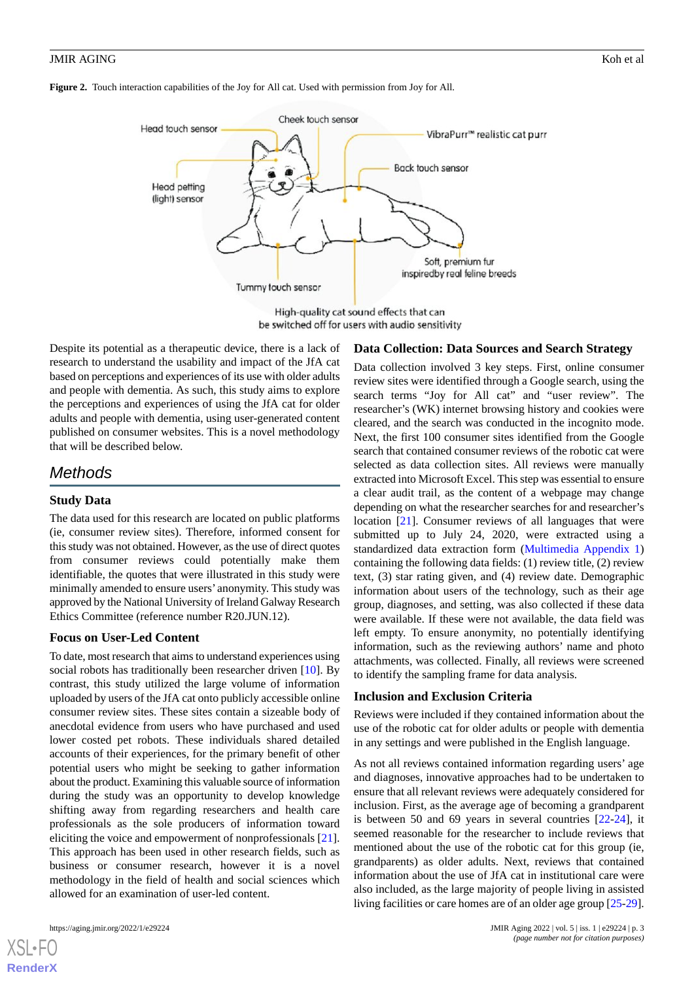<span id="page-2-0"></span>



be switched off for users with audio sensitivity

Despite its potential as a therapeutic device, there is a lack of research to understand the usability and impact of the JfA cat based on perceptions and experiences of its use with older adults and people with dementia. As such, this study aims to explore the perceptions and experiences of using the JfA cat for older adults and people with dementia, using user-generated content published on consumer websites. This is a novel methodology that will be described below.

# *Methods*

# **Study Data**

The data used for this research are located on public platforms (ie, consumer review sites). Therefore, informed consent for this study was not obtained. However, as the use of direct quotes from consumer reviews could potentially make them identifiable, the quotes that were illustrated in this study were minimally amended to ensure users' anonymity. This study was approved by the National University of Ireland Galway Research Ethics Committee (reference number R20.JUN.12).

# **Focus on User-Led Content**

To date, most research that aims to understand experiences using social robots has traditionally been researcher driven [\[10](#page-12-9)]. By contrast, this study utilized the large volume of information uploaded by users of the JfA cat onto publicly accessible online consumer review sites. These sites contain a sizeable body of anecdotal evidence from users who have purchased and used lower costed pet robots. These individuals shared detailed accounts of their experiences, for the primary benefit of other potential users who might be seeking to gather information about the product. Examining this valuable source of information during the study was an opportunity to develop knowledge shifting away from regarding researchers and health care professionals as the sole producers of information toward eliciting the voice and empowerment of nonprofessionals [[21\]](#page-13-0). This approach has been used in other research fields, such as business or consumer research, however it is a novel methodology in the field of health and social sciences which allowed for an examination of user-led content.

#### **Data Collection: Data Sources and Search Strategy**

Data collection involved 3 key steps. First, online consumer review sites were identified through a Google search, using the search terms "Joy for All cat" and "user review". The researcher's (WK) internet browsing history and cookies were cleared, and the search was conducted in the incognito mode. Next, the first 100 consumer sites identified from the Google search that contained consumer reviews of the robotic cat were selected as data collection sites. All reviews were manually extracted into Microsoft Excel. This step was essential to ensure a clear audit trail, as the content of a webpage may change depending on what the researcher searches for and researcher's location [\[21](#page-13-0)]. Consumer reviews of all languages that were submitted up to July 24, 2020, were extracted using a standardized data extraction form [\(Multimedia Appendix 1](#page-11-0)) containing the following data fields: (1) review title, (2) review text, (3) star rating given, and (4) review date. Demographic information about users of the technology, such as their age group, diagnoses, and setting, was also collected if these data were available. If these were not available, the data field was left empty. To ensure anonymity, no potentially identifying information, such as the reviewing authors' name and photo attachments, was collected. Finally, all reviews were screened to identify the sampling frame for data analysis.

#### **Inclusion and Exclusion Criteria**

Reviews were included if they contained information about the use of the robotic cat for older adults or people with dementia in any settings and were published in the English language.

As not all reviews contained information regarding users' age and diagnoses, innovative approaches had to be undertaken to ensure that all relevant reviews were adequately considered for inclusion. First, as the average age of becoming a grandparent is between 50 and 69 years in several countries [[22-](#page-13-1)[24](#page-13-2)], it seemed reasonable for the researcher to include reviews that mentioned about the use of the robotic cat for this group (ie, grandparents) as older adults. Next, reviews that contained information about the use of JfA cat in institutional care were also included, as the large majority of people living in assisted living facilities or care homes are of an older age group [[25-](#page-13-3)[29\]](#page-13-4).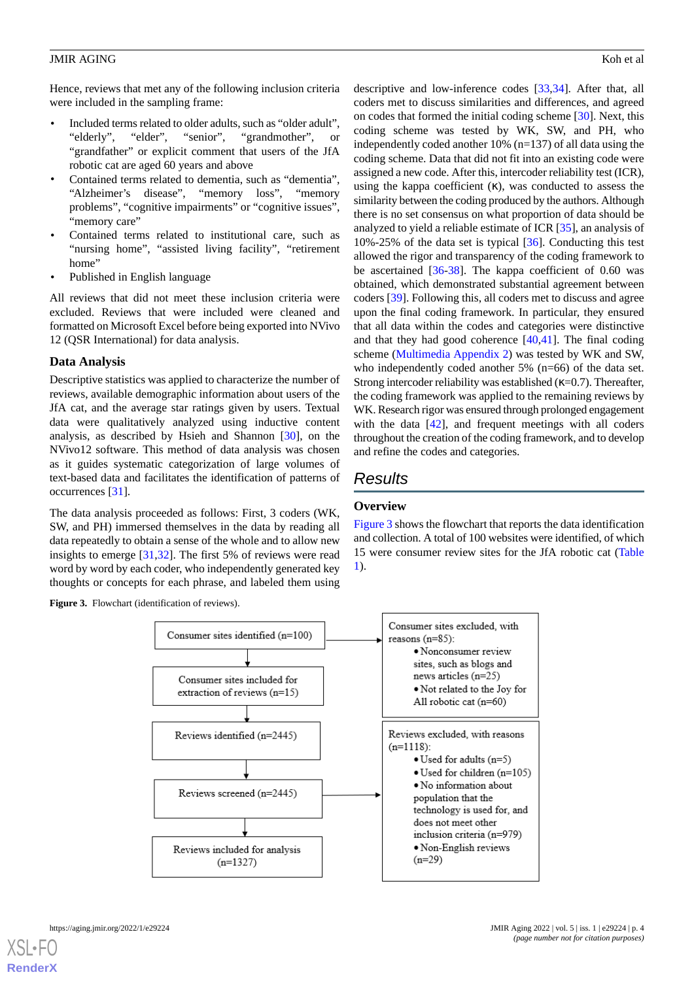Hence, reviews that met any of the following inclusion criteria were included in the sampling frame:

- Included terms related to older adults, such as "older adult", "elderly", "elder", "senior", "grandmother", or "grandfather" or explicit comment that users of the JfA robotic cat are aged 60 years and above
- Contained terms related to dementia, such as "dementia", "Alzheimer's disease", "memory loss", "memory problems", "cognitive impairments" or "cognitive issues", "memory care"
- Contained terms related to institutional care, such as "nursing home", "assisted living facility", "retirement home"
- Published in English language

All reviews that did not meet these inclusion criteria were excluded. Reviews that were included were cleaned and formatted on Microsoft Excel before being exported into NVivo 12 (QSR International) for data analysis.

#### **Data Analysis**

Descriptive statistics was applied to characterize the number of reviews, available demographic information about users of the JfA cat, and the average star ratings given by users. Textual data were qualitatively analyzed using inductive content analysis, as described by Hsieh and Shannon [[30\]](#page-13-5), on the NVivo12 software. This method of data analysis was chosen as it guides systematic categorization of large volumes of text-based data and facilitates the identification of patterns of occurrences [\[31](#page-13-6)].

<span id="page-3-0"></span>The data analysis proceeded as follows: First, 3 coders (WK, SW, and PH) immersed themselves in the data by reading all data repeatedly to obtain a sense of the whole and to allow new insights to emerge [[31,](#page-13-6)[32](#page-13-7)]. The first 5% of reviews were read word by word by each coder, who independently generated key thoughts or concepts for each phrase, and labeled them using





descriptive and low-inference codes [[33,](#page-13-8)[34](#page-13-9)]. After that, all coders met to discuss similarities and differences, and agreed on codes that formed the initial coding scheme [[30\]](#page-13-5). Next, this coding scheme was tested by WK, SW, and PH, who independently coded another 10% (n=137) of all data using the coding scheme. Data that did not fit into an existing code were assigned a new code. After this, intercoder reliability test (ICR), using the kappa coefficient  $(\kappa)$ , was conducted to assess the similarity between the coding produced by the authors. Although there is no set consensus on what proportion of data should be analyzed to yield a reliable estimate of ICR [\[35](#page-13-10)], an analysis of 10%-25% of the data set is typical [\[36](#page-13-11)]. Conducting this test allowed the rigor and transparency of the coding framework to be ascertained [\[36](#page-13-11)[-38](#page-13-12)]. The kappa coefficient of 0.60 was obtained, which demonstrated substantial agreement between coders [\[39](#page-13-13)]. Following this, all coders met to discuss and agree upon the final coding framework. In particular, they ensured that all data within the codes and categories were distinctive and that they had good coherence  $[40,41]$  $[40,41]$  $[40,41]$  $[40,41]$ . The final coding scheme ([Multimedia Appendix 2](#page-12-18)) was tested by WK and SW, who independently coded another 5% (n=66) of the data set. Strong intercoder reliability was established  $(\kappa=0.7)$ . Thereafter, the coding framework was applied to the remaining reviews by WK. Research rigor was ensured through prolonged engagement with the data [[42\]](#page-13-16), and frequent meetings with all coders throughout the creation of the coding framework, and to develop and refine the codes and categories.

# *Results*

#### **Overview**

[Figure 3](#page-3-0) shows the flowchart that reports the data identification and collection. A total of 100 websites were identified, of which 15 were consumer review sites for the JfA robotic cat ([Table](#page-4-0) [1\)](#page-4-0).

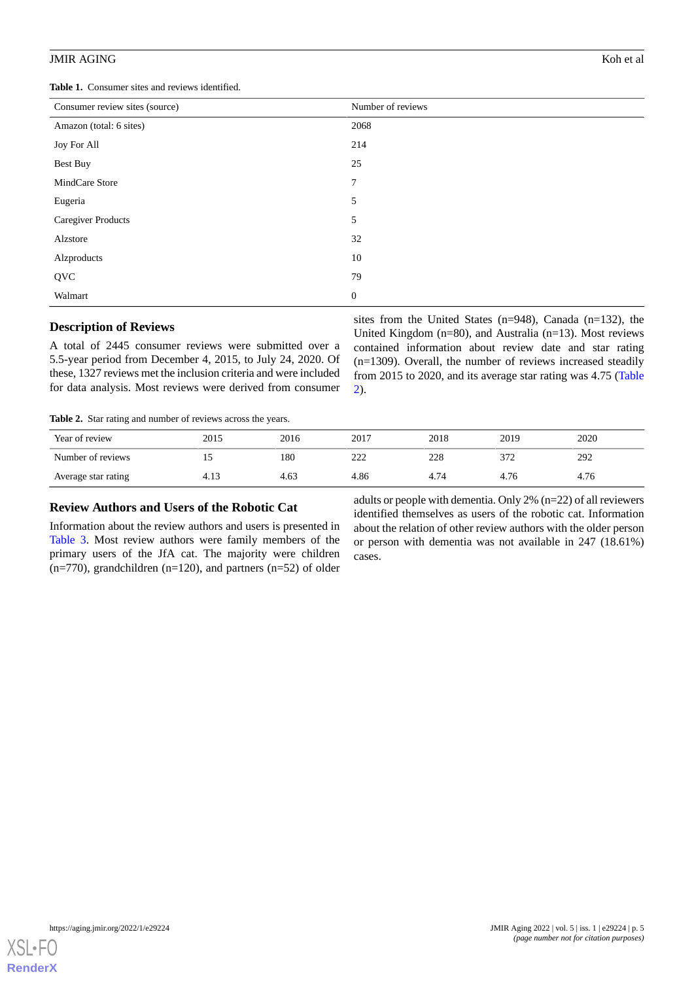<span id="page-4-0"></span>**Table 1.** Consumer sites and reviews identified.

| Consumer review sites (source) | Number of reviews |
|--------------------------------|-------------------|
| Amazon (total: 6 sites)        | 2068              |
| Joy For All                    | 214               |
| Best Buy                       | 25                |
| MindCare Store                 | $\overline{7}$    |
| Eugeria                        | 5                 |
| <b>Caregiver Products</b>      | 5                 |
| Alzstore                       | 32                |
| Alzproducts                    | 10                |
| QVC                            | 79                |
| Walmart                        | $\mathbf{0}$      |

#### **Description of Reviews**

<span id="page-4-1"></span>A total of 2445 consumer reviews were submitted over a 5.5-year period from December 4, 2015, to July 24, 2020. Of these, 1327 reviews met the inclusion criteria and were included for data analysis. Most reviews were derived from consumer

sites from the United States (n=948), Canada (n=132), the United Kingdom (n=80), and Australia (n=13). Most reviews contained information about review date and star rating (n=1309). Overall, the number of reviews increased steadily from 2015 to 2020, and its average star rating was 4.75 ([Table](#page-4-1) [2\)](#page-4-1).

**Table 2.** Star rating and number of reviews across the years.

| Year of review      | 2015 | 2016 | 2017       | 2018 | 2019 | 2020 |
|---------------------|------|------|------------|------|------|------|
| Number of reviews   | ⊥৺   | 180  | າາາ<br>∠∠∠ | 228  | 372  | 292  |
| Average star rating | 4.13 | 4.63 | 4.86       | 4.74 | 4.76 | 4.76 |

# **Review Authors and Users of the Robotic Cat**

Information about the review authors and users is presented in [Table 3.](#page-5-0) Most review authors were family members of the primary users of the JfA cat. The majority were children  $(n=770)$ , grandchildren  $(n=120)$ , and partners  $(n=52)$  of older

adults or people with dementia. Only 2% (n=22) of all reviewers identified themselves as users of the robotic cat. Information about the relation of other review authors with the older person or person with dementia was not available in 247 (18.61%) cases.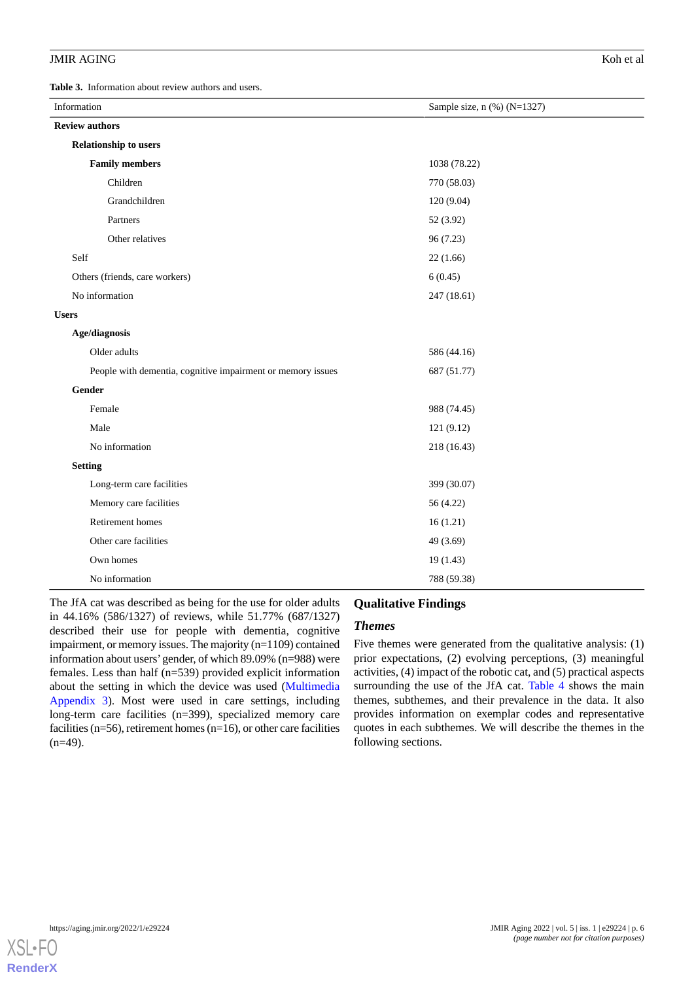<span id="page-5-0"></span>**Table 3.** Information about review authors and users.

| Information                                                 | Sample size, n (%) (N=1327) |
|-------------------------------------------------------------|-----------------------------|
| <b>Review authors</b>                                       |                             |
| <b>Relationship to users</b>                                |                             |
| <b>Family members</b>                                       | 1038 (78.22)                |
| Children                                                    | 770 (58.03)                 |
| Grandchildren                                               | 120(9.04)                   |
| Partners                                                    | 52 (3.92)                   |
| Other relatives                                             | 96 (7.23)                   |
| Self                                                        | 22(1.66)                    |
| Others (friends, care workers)                              | 6(0.45)                     |
| No information                                              | 247 (18.61)                 |
| <b>Users</b>                                                |                             |
| Age/diagnosis                                               |                             |
| Older adults                                                | 586 (44.16)                 |
| People with dementia, cognitive impairment or memory issues | 687 (51.77)                 |
| Gender                                                      |                             |
| Female                                                      | 988 (74.45)                 |
| Male                                                        | 121 (9.12)                  |
| No information                                              | 218 (16.43)                 |
| <b>Setting</b>                                              |                             |
| Long-term care facilities                                   | 399 (30.07)                 |
| Memory care facilities                                      | 56 (4.22)                   |
| Retirement homes                                            | 16(1.21)                    |
| Other care facilities                                       | 49 (3.69)                   |
| Own homes                                                   | 19(1.43)                    |
| No information                                              | 788 (59.38)                 |

The JfA cat was described as being for the use for older adults in 44.16% (586/1327) of reviews, while 51.77% (687/1327) described their use for people with dementia, cognitive impairment, or memory issues. The majority (n=1109) contained information about users'gender, of which 89.09% (n=988) were females. Less than half (n=539) provided explicit information about the setting in which the device was used ([Multimedia](#page-12-19) [Appendix 3\)](#page-12-19). Most were used in care settings, including long-term care facilities (n=399), specialized memory care facilities ( $n=56$ ), retirement homes ( $n=16$ ), or other care facilities  $(n=49)$ .

#### **Qualitative Findings**

#### *Themes*

Five themes were generated from the qualitative analysis: (1) prior expectations, (2) evolving perceptions, (3) meaningful activities, (4) impact of the robotic cat, and (5) practical aspects surrounding the use of the JfA cat. [Table 4](#page-6-0) shows the main themes, subthemes, and their prevalence in the data. It also provides information on exemplar codes and representative quotes in each subthemes. We will describe the themes in the following sections.

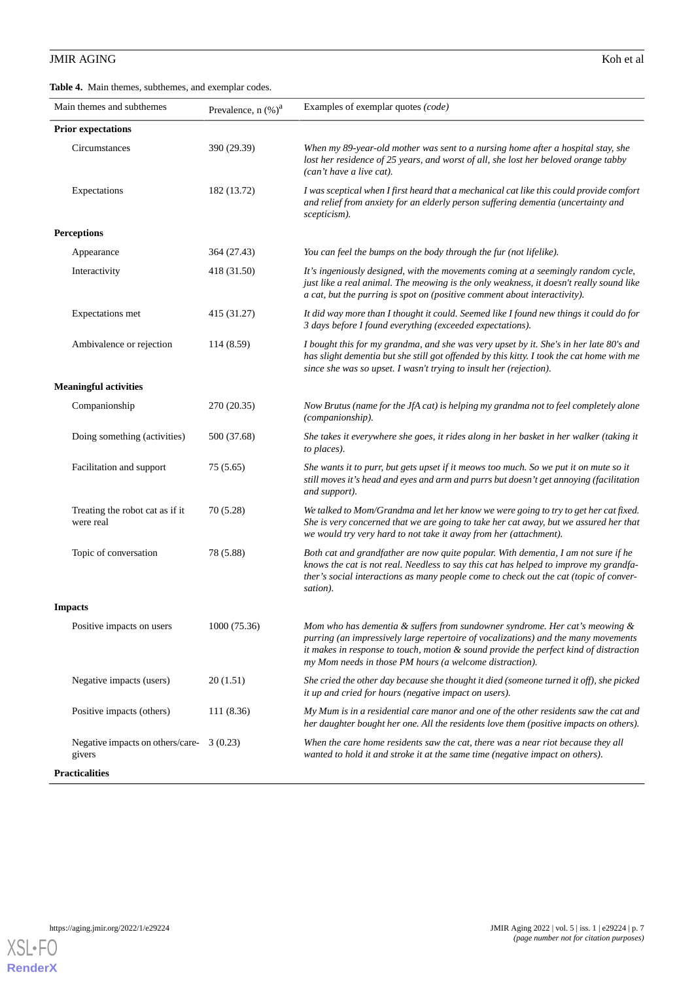<span id="page-6-0"></span>**Table 4.** Main themes, subthemes, and exemplar codes.

| Main themes and subthemes                           | Prevalence, n (%) <sup>a</sup> | Examples of exemplar quotes (code)                                                                                                                                                                                                                                                                                          |
|-----------------------------------------------------|--------------------------------|-----------------------------------------------------------------------------------------------------------------------------------------------------------------------------------------------------------------------------------------------------------------------------------------------------------------------------|
| <b>Prior expectations</b>                           |                                |                                                                                                                                                                                                                                                                                                                             |
| Circumstances                                       | 390 (29.39)                    | When my 89-year-old mother was sent to a nursing home after a hospital stay, she<br>lost her residence of 25 years, and worst of all, she lost her beloved orange tabby<br>(can't have a live cat).                                                                                                                         |
| Expectations                                        | 182 (13.72)                    | I was sceptical when I first heard that a mechanical cat like this could provide comfort<br>and relief from anxiety for an elderly person suffering dementia (uncertainty and<br>scepticism).                                                                                                                               |
| <b>Perceptions</b>                                  |                                |                                                                                                                                                                                                                                                                                                                             |
| Appearance                                          | 364 (27.43)                    | You can feel the bumps on the body through the fur (not lifelike).                                                                                                                                                                                                                                                          |
| Interactivity                                       | 418 (31.50)                    | It's ingeniously designed, with the movements coming at a seemingly random cycle,<br>just like a real animal. The meowing is the only weakness, it doesn't really sound like<br>a cat, but the purring is spot on (positive comment about interactivity).                                                                   |
| Expectations met                                    | 415 (31.27)                    | It did way more than I thought it could. Seemed like I found new things it could do for<br>3 days before I found everything (exceeded expectations).                                                                                                                                                                        |
| Ambivalence or rejection                            | 114 (8.59)                     | I bought this for my grandma, and she was very upset by it. She's in her late 80's and<br>has slight dementia but she still got offended by this kitty. I took the cat home with me<br>since she was so upset. I wasn't trying to insult her (rejection).                                                                   |
| <b>Meaningful activities</b>                        |                                |                                                                                                                                                                                                                                                                                                                             |
| Companionship                                       | 270 (20.35)                    | Now Brutus (name for the JfA cat) is helping my grandma not to feel completely alone<br>(companionship).                                                                                                                                                                                                                    |
| Doing something (activities)                        | 500 (37.68)                    | She takes it everywhere she goes, it rides along in her basket in her walker (taking it<br>to places).                                                                                                                                                                                                                      |
| Facilitation and support                            | 75(5.65)                       | She wants it to purr, but gets upset if it meows too much. So we put it on mute so it<br>still moves it's head and eyes and arm and purrs but doesn't get annoying (facilitation<br>and support).                                                                                                                           |
| Treating the robot cat as if it<br>were real        | 70 (5.28)                      | We talked to Mom/Grandma and let her know we were going to try to get her cat fixed.<br>She is very concerned that we are going to take her cat away, but we assured her that<br>we would try very hard to not take it away from her (attachment).                                                                          |
| Topic of conversation                               | 78 (5.88)                      | Both cat and grandfather are now quite popular. With dementia, I am not sure if he<br>knows the cat is not real. Needless to say this cat has helped to improve my grandfa-<br>ther's social interactions as many people come to check out the cat (topic of conver-<br>sation).                                            |
| <b>Impacts</b>                                      |                                |                                                                                                                                                                                                                                                                                                                             |
| Positive impacts on users                           | 1000 (75.36)                   | Mom who has dementia $\&$ suffers from sundowner syndrome. Her cat's meowing $\&$<br>purring (an impressively large repertoire of vocalizations) and the many movements<br>it makes in response to touch, motion & sound provide the perfect kind of distraction<br>my Mom needs in those PM hours (a welcome distraction). |
| Negative impacts (users)                            | 20(1.51)                       | She cried the other day because she thought it died (someone turned it off), she picked<br>it up and cried for hours (negative impact on users).                                                                                                                                                                            |
| Positive impacts (others)                           | 111 (8.36)                     | My Mum is in a residential care manor and one of the other residents saw the cat and<br>her daughter bought her one. All the residents love them (positive impacts on others).                                                                                                                                              |
| Negative impacts on others/care- 3 (0.23)<br>givers |                                | When the care home residents saw the cat, there was a near riot because they all<br>wanted to hold it and stroke it at the same time (negative impact on others).                                                                                                                                                           |
| <b>Practicalities</b>                               |                                |                                                                                                                                                                                                                                                                                                                             |

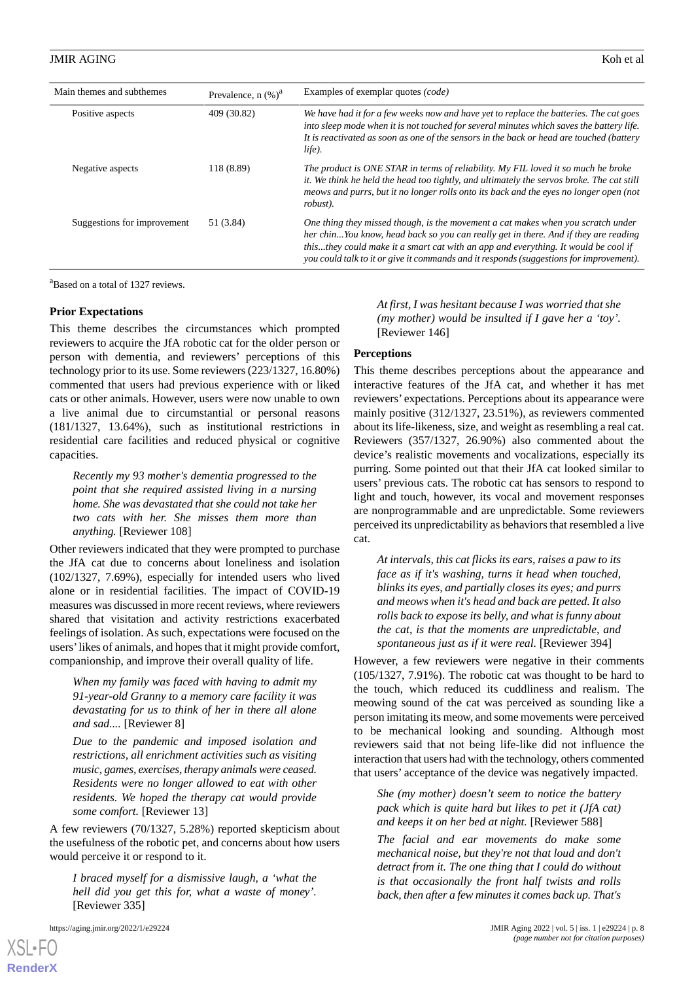| Main themes and subthemes   | Prevalence, $n$ $(\%)^a$ | Examples of exemplar quotes (code)                                                                                                                                                                                                                                                                                                                       |
|-----------------------------|--------------------------|----------------------------------------------------------------------------------------------------------------------------------------------------------------------------------------------------------------------------------------------------------------------------------------------------------------------------------------------------------|
| Positive aspects            | 409 (30.82)              | We have had it for a few weeks now and have yet to replace the batteries. The cat goes<br>into sleep mode when it is not touched for several minutes which saves the battery life.<br>It is reactivated as soon as one of the sensors in the back or head are touched (battery<br>life).                                                                 |
| Negative aspects            | 118 (8.89)               | The product is ONE STAR in terms of reliability. My FIL loved it so much he broke<br>it. We think he held the head too tightly, and ultimately the servos broke. The cat still<br>meows and purrs, but it no longer rolls onto its back and the eyes no longer open (not<br>robust).                                                                     |
| Suggestions for improvement | 51 (3.84)                | One thing they missed though, is the movement a cat makes when you scratch under<br>her chinYou know, head back so you can really get in there. And if they are reading<br>thisthey could make it a smart cat with an app and everything. It would be cool if<br>you could talk to it or give it commands and it responds (suggestions for improvement). |

<sup>a</sup>Based on a total of 1327 reviews.

#### **Prior Expectations**

This theme describes the circumstances which prompted reviewers to acquire the JfA robotic cat for the older person or person with dementia, and reviewers' perceptions of this technology prior to its use. Some reviewers (223/1327, 16.80%) commented that users had previous experience with or liked cats or other animals. However, users were now unable to own a live animal due to circumstantial or personal reasons (181/1327, 13.64%), such as institutional restrictions in residential care facilities and reduced physical or cognitive capacities.

*Recently my 93 mother's dementia progressed to the point that she required assisted living in a nursing home. She was devastated that she could not take her two cats with her. She misses them more than anything.* [Reviewer 108]

Other reviewers indicated that they were prompted to purchase the JfA cat due to concerns about loneliness and isolation (102/1327, 7.69%), especially for intended users who lived alone or in residential facilities. The impact of COVID-19 measures was discussed in more recent reviews, where reviewers shared that visitation and activity restrictions exacerbated feelings of isolation. As such, expectations were focused on the users'likes of animals, and hopes that it might provide comfort, companionship, and improve their overall quality of life.

*When my family was faced with having to admit my 91-year-old Granny to a memory care facility it was devastating for us to think of her in there all alone and sad....* [Reviewer 8]

*Due to the pandemic and imposed isolation and restrictions, all enrichment activities such as visiting music, games, exercises, therapy animals were ceased. Residents were no longer allowed to eat with other residents. We hoped the therapy cat would provide some comfort.* [Reviewer 13]

A few reviewers (70/1327, 5.28%) reported skepticism about the usefulness of the robotic pet, and concerns about how users would perceive it or respond to it.

*I braced myself for a dismissive laugh, a 'what the hell did you get this for, what a waste of money'.* [Reviewer 335]

[XSL](http://www.w3.org/Style/XSL)•FO **[RenderX](http://www.renderx.com/)**

*At first, I was hesitant because I was worried that she (my mother) would be insulted if I gave her a 'toy'.* [Reviewer 146]

#### **Perceptions**

This theme describes perceptions about the appearance and interactive features of the JfA cat, and whether it has met reviewers' expectations. Perceptions about its appearance were mainly positive (312/1327, 23.51%), as reviewers commented about its life-likeness, size, and weight as resembling a real cat. Reviewers (357/1327, 26.90%) also commented about the device's realistic movements and vocalizations, especially its purring. Some pointed out that their JfA cat looked similar to users' previous cats. The robotic cat has sensors to respond to light and touch, however, its vocal and movement responses are nonprogrammable and are unpredictable. Some reviewers perceived its unpredictability as behaviors that resembled a live cat.

*At intervals, this cat flicks its ears, raises a paw to its face as if it's washing, turns it head when touched, blinks its eyes, and partially closes its eyes; and purrs and meows when it's head and back are petted. It also rolls back to expose its belly, and what is funny about the cat, is that the moments are unpredictable, and spontaneous just as if it were real.* [Reviewer 394]

However, a few reviewers were negative in their comments (105/1327, 7.91%). The robotic cat was thought to be hard to the touch, which reduced its cuddliness and realism. The meowing sound of the cat was perceived as sounding like a person imitating its meow, and some movements were perceived to be mechanical looking and sounding. Although most reviewers said that not being life-like did not influence the interaction that users had with the technology, others commented that users' acceptance of the device was negatively impacted.

*She (my mother) doesn't seem to notice the battery pack which is quite hard but likes to pet it (JfA cat) and keeps it on her bed at night.* [Reviewer 588]

*The facial and ear movements do make some mechanical noise, but they're not that loud and don't detract from it. The one thing that I could do without is that occasionally the front half twists and rolls back, then after a few minutes it comes back up. That's*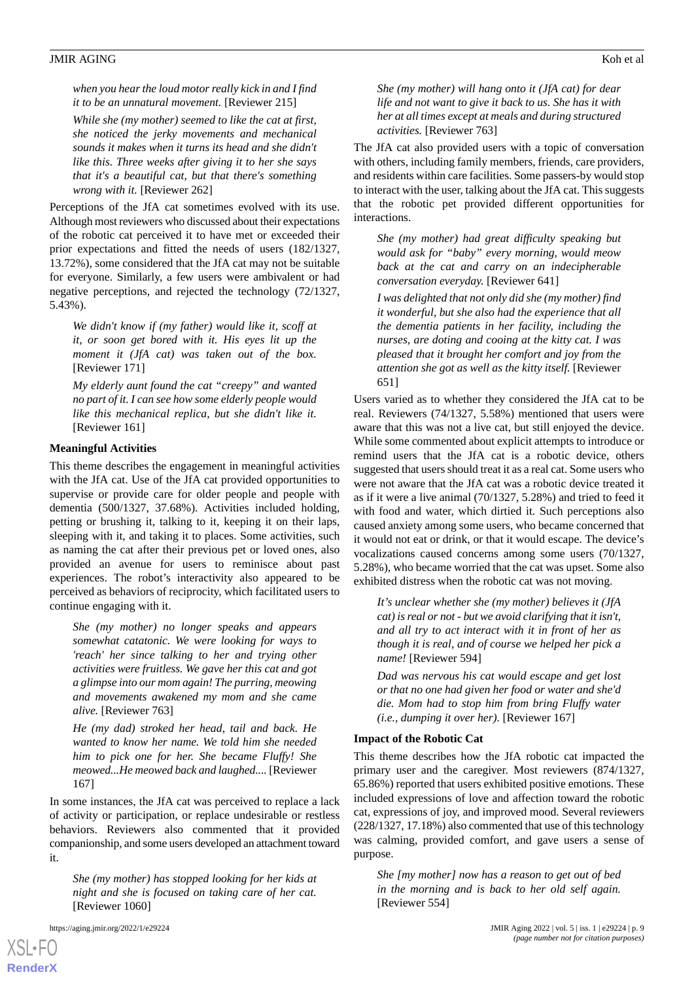*when you hear the loud motor really kick in and I find it to be an unnatural movement.* [Reviewer 215]

*While she (my mother) seemed to like the cat at first, she noticed the jerky movements and mechanical sounds it makes when it turns its head and she didn't like this. Three weeks after giving it to her she says that it's a beautiful cat, but that there's something wrong with it.* [Reviewer 262]

Perceptions of the JfA cat sometimes evolved with its use. Although most reviewers who discussed about their expectations of the robotic cat perceived it to have met or exceeded their prior expectations and fitted the needs of users (182/1327, 13.72%), some considered that the JfA cat may not be suitable for everyone. Similarly, a few users were ambivalent or had negative perceptions, and rejected the technology (72/1327, 5.43%).

*We didn't know if (my father) would like it, scoff at it, or soon get bored with it. His eyes lit up the moment it (JfA cat) was taken out of the box.* [Reviewer 171]

*My elderly aunt found the cat "creepy" and wanted no part of it. I can see how some elderly people would like this mechanical replica, but she didn't like it.* [Reviewer 161]

#### **Meaningful Activities**

This theme describes the engagement in meaningful activities with the JfA cat. Use of the JfA cat provided opportunities to supervise or provide care for older people and people with dementia (500/1327, 37.68%). Activities included holding, petting or brushing it, talking to it, keeping it on their laps, sleeping with it, and taking it to places. Some activities, such as naming the cat after their previous pet or loved ones, also provided an avenue for users to reminisce about past experiences. The robot's interactivity also appeared to be perceived as behaviors of reciprocity, which facilitated users to continue engaging with it.

*She (my mother) no longer speaks and appears somewhat catatonic. We were looking for ways to 'reach' her since talking to her and trying other activities were fruitless. We gave her this cat and got a glimpse into our mom again! The purring, meowing and movements awakened my mom and she came alive.* [Reviewer 763]

*He (my dad) stroked her head, tail and back. He wanted to know her name. We told him she needed him to pick one for her. She became Fluffy! She meowed...He meowed back and laughed....* [Reviewer 167]

In some instances, the JfA cat was perceived to replace a lack of activity or participation, or replace undesirable or restless behaviors. Reviewers also commented that it provided companionship, and some users developed an attachment toward it.

*She (my mother) has stopped looking for her kids at night and she is focused on taking care of her cat.* [Reviewer 1060]

[XSL](http://www.w3.org/Style/XSL)•FO **[RenderX](http://www.renderx.com/)**

*She (my mother) will hang onto it (JfA cat) for dear life and not want to give it back to us. She has it with her at all times except at meals and during structured activities.* [Reviewer 763]

The JfA cat also provided users with a topic of conversation with others, including family members, friends, care providers, and residents within care facilities. Some passers-by would stop to interact with the user, talking about the JfA cat. This suggests that the robotic pet provided different opportunities for interactions.

*She (my mother) had great difficulty speaking but would ask for "baby" every morning, would meow back at the cat and carry on an indecipherable conversation everyday.* [Reviewer 641]

*I was delighted that not only did she (my mother) find it wonderful, but she also had the experience that all the dementia patients in her facility, including the nurses, are doting and cooing at the kitty cat. I was pleased that it brought her comfort and joy from the attention she got as well as the kitty itself.* [Reviewer 651]

Users varied as to whether they considered the JfA cat to be real. Reviewers (74/1327, 5.58%) mentioned that users were aware that this was not a live cat, but still enjoyed the device. While some commented about explicit attempts to introduce or remind users that the JfA cat is a robotic device, others suggested that users should treat it as a real cat. Some users who were not aware that the JfA cat was a robotic device treated it as if it were a live animal (70/1327, 5.28%) and tried to feed it with food and water, which dirtied it. Such perceptions also caused anxiety among some users, who became concerned that it would not eat or drink, or that it would escape. The device's vocalizations caused concerns among some users (70/1327, 5.28%), who became worried that the cat was upset. Some also exhibited distress when the robotic cat was not moving.

*It's unclear whether she (my mother) believes it (JfA cat) is real or not - but we avoid clarifying that it isn't, and all try to act interact with it in front of her as though it is real, and of course we helped her pick a name!* [Reviewer 594]

*Dad was nervous his cat would escape and get lost or that no one had given her food or water and she'd die. Mom had to stop him from bring Fluffy water (i.e., dumping it over her).* [Reviewer 167]

#### **Impact of the Robotic Cat**

This theme describes how the JfA robotic cat impacted the primary user and the caregiver. Most reviewers (874/1327, 65.86%) reported that users exhibited positive emotions. These included expressions of love and affection toward the robotic cat, expressions of joy, and improved mood. Several reviewers (228/1327, 17.18%) also commented that use of this technology was calming, provided comfort, and gave users a sense of purpose.

*She [my mother] now has a reason to get out of bed in the morning and is back to her old self again.* [Reviewer 554]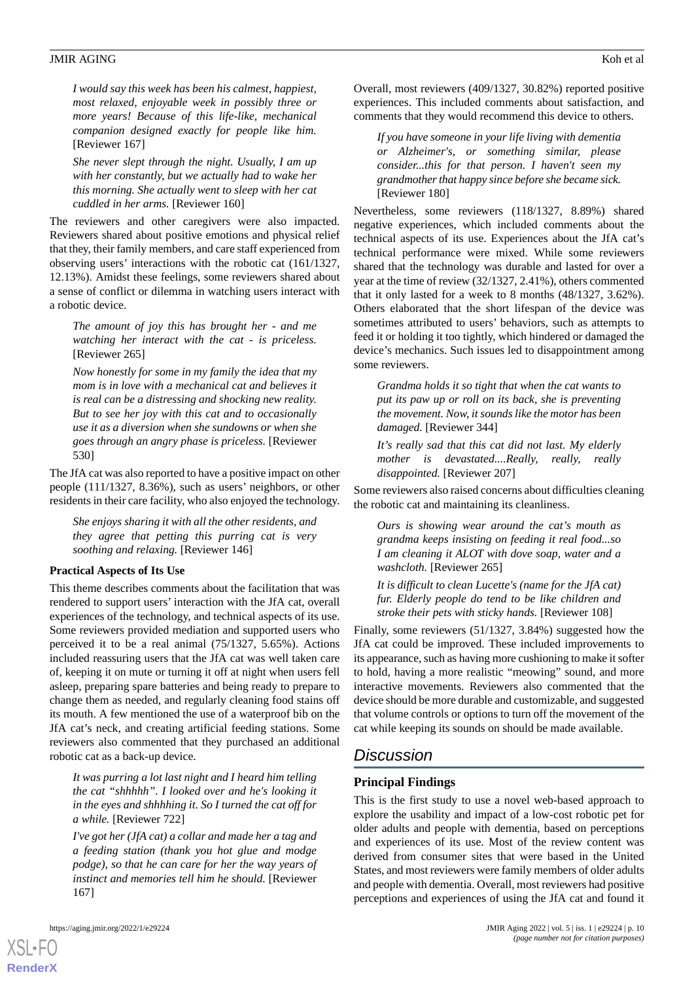*I would say this week has been his calmest, happiest, most relaxed, enjoyable week in possibly three or more years! Because of this life-like, mechanical companion designed exactly for people like him.* [Reviewer 167]

*She never slept through the night. Usually, I am up with her constantly, but we actually had to wake her this morning. She actually went to sleep with her cat cuddled in her arms.* [Reviewer 160]

The reviewers and other caregivers were also impacted. Reviewers shared about positive emotions and physical relief that they, their family members, and care staff experienced from observing users' interactions with the robotic cat (161/1327, 12.13%). Amidst these feelings, some reviewers shared about a sense of conflict or dilemma in watching users interact with a robotic device.

*The amount of joy this has brought her - and me watching her interact with the cat - is priceless.* [Reviewer 265]

*Now honestly for some in my family the idea that my mom is in love with a mechanical cat and believes it is real can be a distressing and shocking new reality. But to see her joy with this cat and to occasionally use it as a diversion when she sundowns or when she goes through an angry phase is priceless.* [Reviewer 530]

The JfA cat was also reported to have a positive impact on other people (111/1327, 8.36%), such as users' neighbors, or other residents in their care facility, who also enjoyed the technology.

*She enjoys sharing it with all the other residents, and they agree that petting this purring cat is very soothing and relaxing.* [Reviewer 146]

#### **Practical Aspects of Its Use**

This theme describes comments about the facilitation that was rendered to support users' interaction with the JfA cat, overall experiences of the technology, and technical aspects of its use. Some reviewers provided mediation and supported users who perceived it to be a real animal (75/1327, 5.65%). Actions included reassuring users that the JfA cat was well taken care of, keeping it on mute or turning it off at night when users fell asleep, preparing spare batteries and being ready to prepare to change them as needed, and regularly cleaning food stains off its mouth. A few mentioned the use of a waterproof bib on the JfA cat's neck, and creating artificial feeding stations. Some reviewers also commented that they purchased an additional robotic cat as a back-up device.

*It was purring a lot last night and I heard him telling the cat "shhhhh". I looked over and he's looking it in the eyes and shhhhing it. So I turned the cat off for a while.* [Reviewer 722]

*I've got her (JfA cat) a collar and made her a tag and a feeding station (thank you hot glue and modge podge), so that he can care for her the way years of instinct and memories tell him he should.* [Reviewer 167]

[XSL](http://www.w3.org/Style/XSL)•FO **[RenderX](http://www.renderx.com/)**

Overall, most reviewers (409/1327, 30.82%) reported positive experiences. This included comments about satisfaction, and comments that they would recommend this device to others.

*If you have someone in your life living with dementia or Alzheimer's, or something similar, please consider...this for that person. I haven't seen my grandmother that happy since before she became sick.* [Reviewer 180]

Nevertheless, some reviewers (118/1327, 8.89%) shared negative experiences, which included comments about the technical aspects of its use. Experiences about the JfA cat's technical performance were mixed. While some reviewers shared that the technology was durable and lasted for over a year at the time of review (32/1327, 2.41%), others commented that it only lasted for a week to 8 months (48/1327, 3.62%). Others elaborated that the short lifespan of the device was sometimes attributed to users' behaviors, such as attempts to feed it or holding it too tightly, which hindered or damaged the device's mechanics. Such issues led to disappointment among some reviewers.

*Grandma holds it so tight that when the cat wants to put its paw up or roll on its back, she is preventing the movement. Now, it sounds like the motor has been damaged.* [Reviewer 344]

*It's really sad that this cat did not last. My elderly mother is devastated....Really, really, really disappointed.* [Reviewer 207]

Some reviewers also raised concerns about difficulties cleaning the robotic cat and maintaining its cleanliness.

*Ours is showing wear around the cat's mouth as grandma keeps insisting on feeding it real food...so I am cleaning it ALOT with dove soap, water and a washcloth.* [Reviewer 265]

*It is difficult to clean Lucette's (name for the JfA cat) fur. Elderly people do tend to be like children and stroke their pets with sticky hands.* [Reviewer 108]

Finally, some reviewers (51/1327, 3.84%) suggested how the JfA cat could be improved. These included improvements to its appearance, such as having more cushioning to make it softer to hold, having a more realistic "meowing" sound, and more interactive movements. Reviewers also commented that the device should be more durable and customizable, and suggested that volume controls or options to turn off the movement of the cat while keeping its sounds on should be made available.

# *Discussion*

#### **Principal Findings**

This is the first study to use a novel web-based approach to explore the usability and impact of a low-cost robotic pet for older adults and people with dementia, based on perceptions and experiences of its use. Most of the review content was derived from consumer sites that were based in the United States, and most reviewers were family members of older adults and people with dementia. Overall, most reviewers had positive perceptions and experiences of using the JfA cat and found it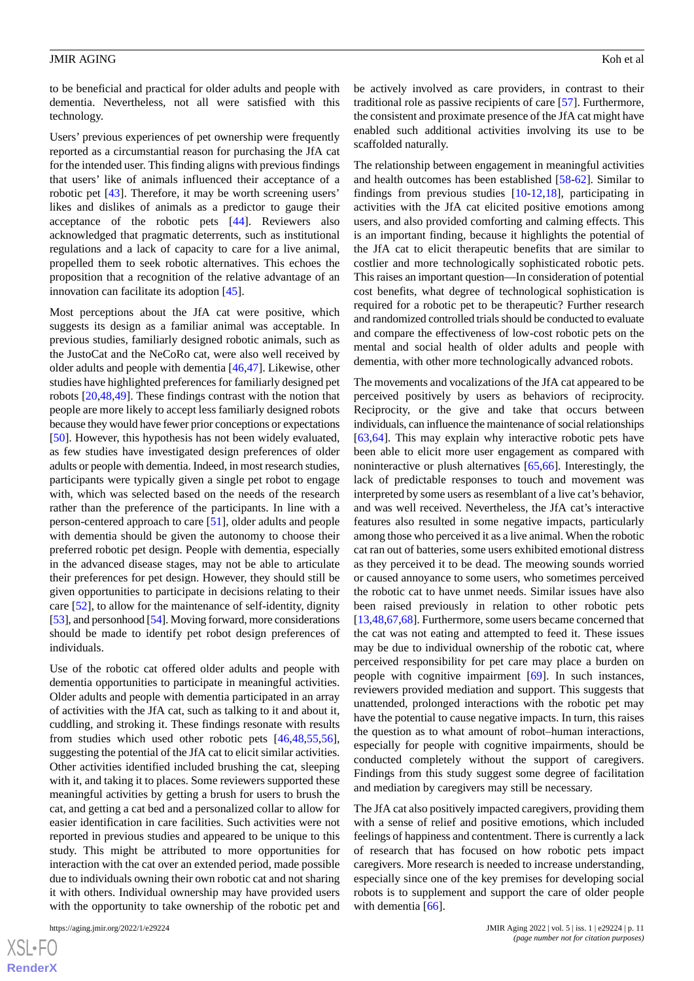to be beneficial and practical for older adults and people with dementia. Nevertheless, not all were satisfied with this technology.

Users' previous experiences of pet ownership were frequently reported as a circumstantial reason for purchasing the JfA cat for the intended user. This finding aligns with previous findings that users' like of animals influenced their acceptance of a robotic pet [\[43](#page-13-17)]. Therefore, it may be worth screening users' likes and dislikes of animals as a predictor to gauge their acceptance of the robotic pets [[44\]](#page-13-18). Reviewers also acknowledged that pragmatic deterrents, such as institutional regulations and a lack of capacity to care for a live animal, propelled them to seek robotic alternatives. This echoes the proposition that a recognition of the relative advantage of an innovation can facilitate its adoption [[45\]](#page-13-19).

Most perceptions about the JfA cat were positive, which suggests its design as a familiar animal was acceptable. In previous studies, familiarly designed robotic animals, such as the JustoCat and the NeCoRo cat, were also well received by older adults and people with dementia [\[46](#page-13-20),[47\]](#page-14-0). Likewise, other studies have highlighted preferences for familiarly designed pet robots [[20,](#page-12-17)[48](#page-14-1)[,49](#page-14-2)]. These findings contrast with the notion that people are more likely to accept less familiarly designed robots because they would have fewer prior conceptions or expectations [[50\]](#page-14-3). However, this hypothesis has not been widely evaluated, as few studies have investigated design preferences of older adults or people with dementia. Indeed, in most research studies, participants were typically given a single pet robot to engage with, which was selected based on the needs of the research rather than the preference of the participants. In line with a person-centered approach to care [\[51](#page-14-4)], older adults and people with dementia should be given the autonomy to choose their preferred robotic pet design. People with dementia, especially in the advanced disease stages, may not be able to articulate their preferences for pet design. However, they should still be given opportunities to participate in decisions relating to their care [[52\]](#page-14-5), to allow for the maintenance of self-identity, dignity [[53\]](#page-14-6), and personhood [\[54\]](#page-14-7). Moving forward, more considerations should be made to identify pet robot design preferences of individuals.

Use of the robotic cat offered older adults and people with dementia opportunities to participate in meaningful activities. Older adults and people with dementia participated in an array of activities with the JfA cat, such as talking to it and about it, cuddling, and stroking it. These findings resonate with results from studies which used other robotic pets [\[46](#page-13-20),[48](#page-14-1)[,55](#page-14-8),[56\]](#page-14-9), suggesting the potential of the JfA cat to elicit similar activities. Other activities identified included brushing the cat, sleeping with it, and taking it to places. Some reviewers supported these meaningful activities by getting a brush for users to brush the cat, and getting a cat bed and a personalized collar to allow for easier identification in care facilities. Such activities were not reported in previous studies and appeared to be unique to this study. This might be attributed to more opportunities for interaction with the cat over an extended period, made possible due to individuals owning their own robotic cat and not sharing it with others. Individual ownership may have provided users with the opportunity to take ownership of the robotic pet and

[XSL](http://www.w3.org/Style/XSL)•FO **[RenderX](http://www.renderx.com/)** be actively involved as care providers, in contrast to their traditional role as passive recipients of care [[57\]](#page-14-10). Furthermore, the consistent and proximate presence of the JfA cat might have enabled such additional activities involving its use to be scaffolded naturally.

The relationship between engagement in meaningful activities and health outcomes has been established [[58](#page-14-11)[-62](#page-14-12)]. Similar to findings from previous studies [\[10](#page-12-9)-[12,](#page-12-10)[18\]](#page-12-15), participating in activities with the JfA cat elicited positive emotions among users, and also provided comforting and calming effects. This is an important finding, because it highlights the potential of the JfA cat to elicit therapeutic benefits that are similar to costlier and more technologically sophisticated robotic pets. This raises an important question—In consideration of potential cost benefits, what degree of technological sophistication is required for a robotic pet to be therapeutic? Further research and randomized controlled trials should be conducted to evaluate and compare the effectiveness of low-cost robotic pets on the mental and social health of older adults and people with dementia, with other more technologically advanced robots.

The movements and vocalizations of the JfA cat appeared to be perceived positively by users as behaviors of reciprocity. Reciprocity, or the give and take that occurs between individuals, can influence the maintenance of social relationships [[63,](#page-14-13)[64\]](#page-14-14). This may explain why interactive robotic pets have been able to elicit more user engagement as compared with noninteractive or plush alternatives [\[65](#page-14-15),[66\]](#page-14-16). Interestingly, the lack of predictable responses to touch and movement was interpreted by some users as resemblant of a live cat's behavior, and was well received. Nevertheless, the JfA cat's interactive features also resulted in some negative impacts, particularly among those who perceived it as a live animal. When the robotic cat ran out of batteries, some users exhibited emotional distress as they perceived it to be dead. The meowing sounds worried or caused annoyance to some users, who sometimes perceived the robotic cat to have unmet needs. Similar issues have also been raised previously in relation to other robotic pets [[13,](#page-12-11)[48,](#page-14-1)[67](#page-14-17)[,68](#page-14-18)]. Furthermore, some users became concerned that the cat was not eating and attempted to feed it. These issues may be due to individual ownership of the robotic cat, where perceived responsibility for pet care may place a burden on people with cognitive impairment [\[69](#page-14-19)]. In such instances, reviewers provided mediation and support. This suggests that unattended, prolonged interactions with the robotic pet may have the potential to cause negative impacts. In turn, this raises the question as to what amount of robot–human interactions, especially for people with cognitive impairments, should be conducted completely without the support of caregivers. Findings from this study suggest some degree of facilitation and mediation by caregivers may still be necessary.

The JfA cat also positively impacted caregivers, providing them with a sense of relief and positive emotions, which included feelings of happiness and contentment. There is currently a lack of research that has focused on how robotic pets impact caregivers. More research is needed to increase understanding, especially since one of the key premises for developing social robots is to supplement and support the care of older people with dementia [\[66](#page-14-16)].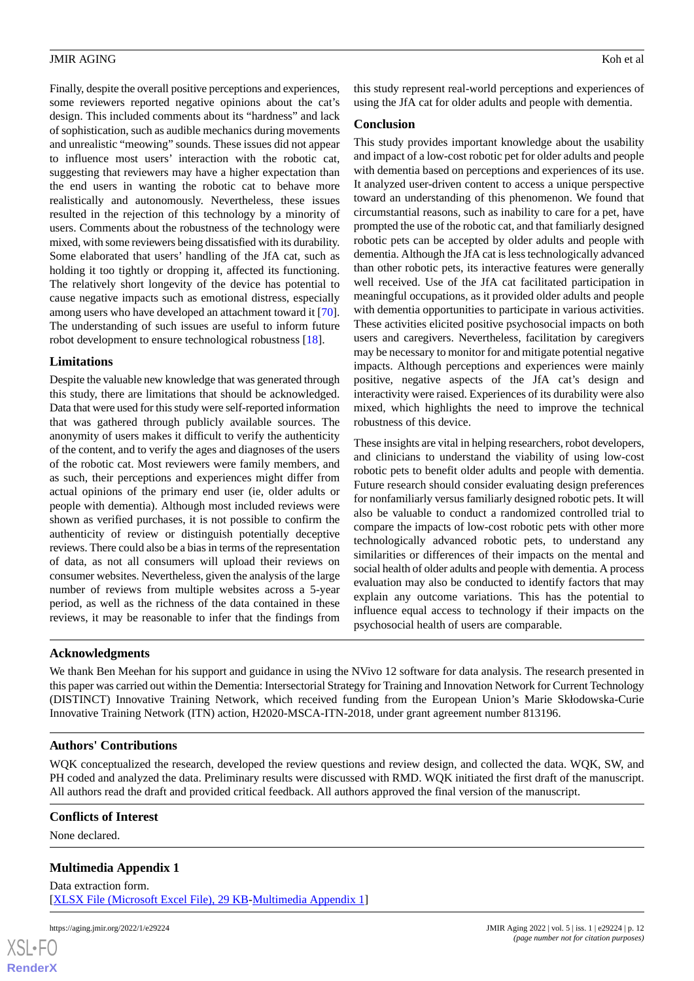Finally, despite the overall positive perceptions and experiences, some reviewers reported negative opinions about the cat's design. This included comments about its "hardness" and lack of sophistication, such as audible mechanics during movements and unrealistic "meowing" sounds. These issues did not appear to influence most users' interaction with the robotic cat, suggesting that reviewers may have a higher expectation than the end users in wanting the robotic cat to behave more realistically and autonomously. Nevertheless, these issues resulted in the rejection of this technology by a minority of users. Comments about the robustness of the technology were mixed, with some reviewers being dissatisfied with its durability. Some elaborated that users' handling of the JfA cat, such as holding it too tightly or dropping it, affected its functioning. The relatively short longevity of the device has potential to cause negative impacts such as emotional distress, especially among users who have developed an attachment toward it [[70\]](#page-15-0). The understanding of such issues are useful to inform future robot development to ensure technological robustness [[18](#page-12-15)].

#### **Limitations**

Despite the valuable new knowledge that was generated through this study, there are limitations that should be acknowledged. Data that were used for this study were self-reported information that was gathered through publicly available sources. The anonymity of users makes it difficult to verify the authenticity of the content, and to verify the ages and diagnoses of the users of the robotic cat. Most reviewers were family members, and as such, their perceptions and experiences might differ from actual opinions of the primary end user (ie, older adults or people with dementia). Although most included reviews were shown as verified purchases, it is not possible to confirm the authenticity of review or distinguish potentially deceptive reviews. There could also be a bias in terms of the representation of data, as not all consumers will upload their reviews on consumer websites. Nevertheless, given the analysis of the large number of reviews from multiple websites across a 5-year period, as well as the richness of the data contained in these reviews, it may be reasonable to infer that the findings from

this study represent real-world perceptions and experiences of using the JfA cat for older adults and people with dementia.

#### **Conclusion**

This study provides important knowledge about the usability and impact of a low-cost robotic pet for older adults and people with dementia based on perceptions and experiences of its use. It analyzed user-driven content to access a unique perspective toward an understanding of this phenomenon. We found that circumstantial reasons, such as inability to care for a pet, have prompted the use of the robotic cat, and that familiarly designed robotic pets can be accepted by older adults and people with dementia. Although the JfA cat is less technologically advanced than other robotic pets, its interactive features were generally well received. Use of the JfA cat facilitated participation in meaningful occupations, as it provided older adults and people with dementia opportunities to participate in various activities. These activities elicited positive psychosocial impacts on both users and caregivers. Nevertheless, facilitation by caregivers may be necessary to monitor for and mitigate potential negative impacts. Although perceptions and experiences were mainly positive, negative aspects of the JfA cat's design and interactivity were raised. Experiences of its durability were also mixed, which highlights the need to improve the technical robustness of this device.

These insights are vital in helping researchers, robot developers, and clinicians to understand the viability of using low-cost robotic pets to benefit older adults and people with dementia. Future research should consider evaluating design preferences for nonfamiliarly versus familiarly designed robotic pets. It will also be valuable to conduct a randomized controlled trial to compare the impacts of low-cost robotic pets with other more technologically advanced robotic pets, to understand any similarities or differences of their impacts on the mental and social health of older adults and people with dementia. A process evaluation may also be conducted to identify factors that may explain any outcome variations. This has the potential to influence equal access to technology if their impacts on the psychosocial health of users are comparable.

#### **Acknowledgments**

We thank Ben Meehan for his support and guidance in using the NVivo 12 software for data analysis. The research presented in this paper was carried out within the Dementia: Intersectorial Strategy for Training and Innovation Network for Current Technology (DISTINCT) Innovative Training Network, which received funding from the European Union's Marie Skłodowska-Curie Innovative Training Network (ITN) action, H2020-MSCA-ITN-2018, under grant agreement number 813196.

# **Authors' Contributions**

<span id="page-11-0"></span>WQK conceptualized the research, developed the review questions and review design, and collected the data. WQK, SW, and PH coded and analyzed the data. Preliminary results were discussed with RMD. WQK initiated the first draft of the manuscript. All authors read the draft and provided critical feedback. All authors approved the final version of the manuscript.

#### **Conflicts of Interest**

None declared.

[XSL](http://www.w3.org/Style/XSL)•FO **[RenderX](http://www.renderx.com/)**

# **Multimedia Appendix 1**

Data extraction form. [[XLSX File \(Microsoft Excel File\), 29 KB](https://jmir.org/api/download?alt_name=aging_v5i1e29224_app1.xlsx&filename=53342e1510cb8bce2913fe8e11525c62.xlsx)-[Multimedia Appendix 1\]](https://jmir.org/api/download?alt_name=aging_v5i1e29224_app1.xlsx&filename=53342e1510cb8bce2913fe8e11525c62.xlsx)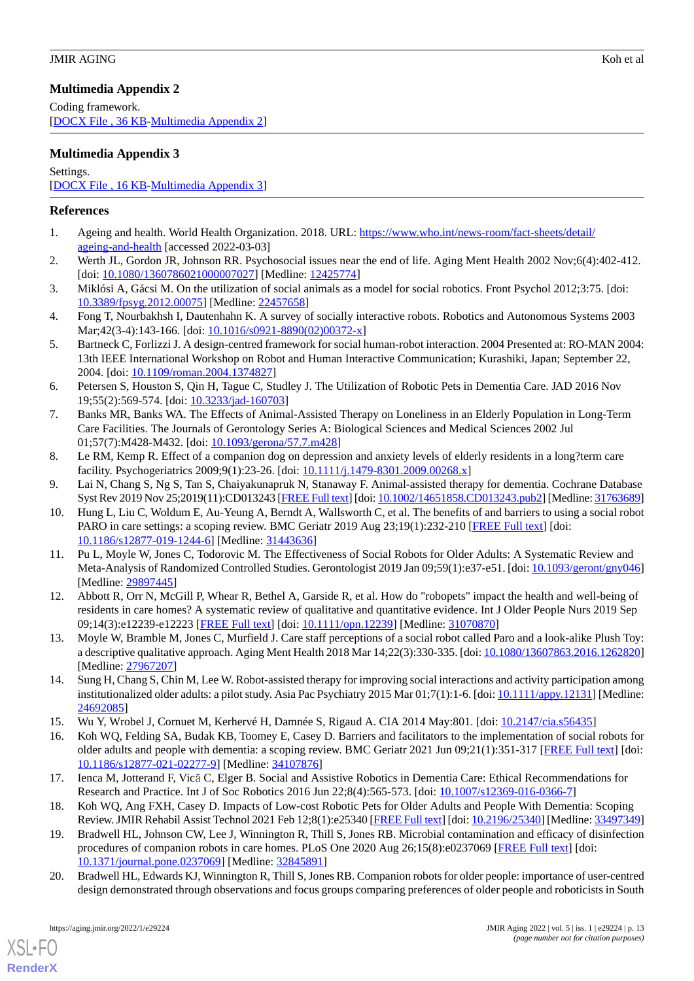# <span id="page-12-18"></span>**Multimedia Appendix 2**

Coding framework. [[DOCX File , 36 KB](https://jmir.org/api/download?alt_name=aging_v5i1e29224_app2.docx&filename=21c35d158bfc5ddf1593d9ef60595a43.docx)-[Multimedia Appendix 2\]](https://jmir.org/api/download?alt_name=aging_v5i1e29224_app2.docx&filename=21c35d158bfc5ddf1593d9ef60595a43.docx)

# <span id="page-12-19"></span>**Multimedia Appendix 3**

Settings.

[[DOCX File , 16 KB](https://jmir.org/api/download?alt_name=aging_v5i1e29224_app3.docx&filename=2dc83e0f5ca91dd2ea7ded96f32beb2f.docx)-[Multimedia Appendix 3\]](https://jmir.org/api/download?alt_name=aging_v5i1e29224_app3.docx&filename=2dc83e0f5ca91dd2ea7ded96f32beb2f.docx)

# <span id="page-12-0"></span>**References**

- <span id="page-12-1"></span>1. Ageing and health. World Health Organization. 2018. URL: [https://www.who.int/news-room/fact-sheets/detail/](https://www.who.int/news-room/fact-sheets/detail/ageing-and-health) [ageing-and-health](https://www.who.int/news-room/fact-sheets/detail/ageing-and-health) [accessed 2022-03-03]
- <span id="page-12-2"></span>2. Werth JL, Gordon JR, Johnson RR. Psychosocial issues near the end of life. Aging Ment Health 2002 Nov;6(4):402-412. [doi: [10.1080/1360786021000007027](http://dx.doi.org/10.1080/1360786021000007027)] [Medline: [12425774\]](http://www.ncbi.nlm.nih.gov/entrez/query.fcgi?cmd=Retrieve&db=PubMed&list_uids=12425774&dopt=Abstract)
- <span id="page-12-3"></span>3. Miklósi A, Gácsi M. On the utilization of social animals as a model for social robotics. Front Psychol 2012;3:75. [doi: [10.3389/fpsyg.2012.00075](http://dx.doi.org/10.3389/fpsyg.2012.00075)] [Medline: [22457658\]](http://www.ncbi.nlm.nih.gov/entrez/query.fcgi?cmd=Retrieve&db=PubMed&list_uids=22457658&dopt=Abstract)
- <span id="page-12-4"></span>4. Fong T, Nourbakhsh I, Dautenhahn K. A survey of socially interactive robots. Robotics and Autonomous Systems 2003 Mar; 42(3-4): 143-166. [doi: [10.1016/s0921-8890\(02\)00372-x\]](http://dx.doi.org/10.1016/s0921-8890(02)00372-x)
- <span id="page-12-5"></span>5. Bartneck C, Forlizzi J. A design-centred framework for social human-robot interaction. 2004 Presented at: RO-MAN 2004: 13th IEEE International Workshop on Robot and Human Interactive Communication; Kurashiki, Japan; September 22, 2004. [doi: [10.1109/roman.2004.1374827\]](http://dx.doi.org/10.1109/roman.2004.1374827)
- <span id="page-12-6"></span>6. Petersen S, Houston S, Qin H, Tague C, Studley J. The Utilization of Robotic Pets in Dementia Care. JAD 2016 Nov 19;55(2):569-574. [doi: [10.3233/jad-160703](http://dx.doi.org/10.3233/jad-160703)]
- <span id="page-12-7"></span>7. Banks MR, Banks WA. The Effects of Animal-Assisted Therapy on Loneliness in an Elderly Population in Long-Term Care Facilities. The Journals of Gerontology Series A: Biological Sciences and Medical Sciences 2002 Jul 01;57(7):M428-M432. [doi: [10.1093/gerona/57.7.m428](http://dx.doi.org/10.1093/gerona/57.7.m428)]
- <span id="page-12-9"></span><span id="page-12-8"></span>8. Le RM, Kemp R. Effect of a companion dog on depression and anxiety levels of elderly residents in a long?term care facility. Psychogeriatrics 2009;9(1):23-26. [doi: [10.1111/j.1479-8301.2009.00268.x](http://dx.doi.org/10.1111/j.1479-8301.2009.00268.x)]
- 9. Lai N, Chang S, Ng S, Tan S, Chaiyakunapruk N, Stanaway F. Animal-assisted therapy for dementia. Cochrane Database Syst Rev 2019 Nov 25;2019(11):CD013243 [\[FREE Full text](http://europepmc.org/abstract/MED/31763689)] [doi: [10.1002/14651858.CD013243.pub2](http://dx.doi.org/10.1002/14651858.CD013243.pub2)] [Medline: [31763689\]](http://www.ncbi.nlm.nih.gov/entrez/query.fcgi?cmd=Retrieve&db=PubMed&list_uids=31763689&dopt=Abstract)
- 10. Hung L, Liu C, Woldum E, Au-Yeung A, Berndt A, Wallsworth C, et al. The benefits of and barriers to using a social robot PARO in care settings: a scoping review. BMC Geriatr 2019 Aug 23;19(1):232-210 [\[FREE Full text\]](https://bmcgeriatr.biomedcentral.com/articles/10.1186/s12877-019-1244-6) [doi: [10.1186/s12877-019-1244-6\]](http://dx.doi.org/10.1186/s12877-019-1244-6) [Medline: [31443636](http://www.ncbi.nlm.nih.gov/entrez/query.fcgi?cmd=Retrieve&db=PubMed&list_uids=31443636&dopt=Abstract)]
- <span id="page-12-10"></span>11. Pu L, Moyle W, Jones C, Todorovic M. The Effectiveness of Social Robots for Older Adults: A Systematic Review and Meta-Analysis of Randomized Controlled Studies. Gerontologist 2019 Jan 09;59(1):e37-e51. [doi: [10.1093/geront/gny046\]](http://dx.doi.org/10.1093/geront/gny046) [Medline: [29897445](http://www.ncbi.nlm.nih.gov/entrez/query.fcgi?cmd=Retrieve&db=PubMed&list_uids=29897445&dopt=Abstract)]
- <span id="page-12-11"></span>12. Abbott R, Orr N, McGill P, Whear R, Bethel A, Garside R, et al. How do "robopets" impact the health and well-being of residents in care homes? A systematic review of qualitative and quantitative evidence. Int J Older People Nurs 2019 Sep 09;14(3):e12239-e12223 [[FREE Full text](http://europepmc.org/abstract/MED/31070870)] [doi: [10.1111/opn.12239](http://dx.doi.org/10.1111/opn.12239)] [Medline: [31070870\]](http://www.ncbi.nlm.nih.gov/entrez/query.fcgi?cmd=Retrieve&db=PubMed&list_uids=31070870&dopt=Abstract)
- <span id="page-12-12"></span>13. Moyle W, Bramble M, Jones C, Murfield J. Care staff perceptions of a social robot called Paro and a look-alike Plush Toy: a descriptive qualitative approach. Aging Ment Health 2018 Mar 14;22(3):330-335. [doi: [10.1080/13607863.2016.1262820\]](http://dx.doi.org/10.1080/13607863.2016.1262820) [Medline: [27967207](http://www.ncbi.nlm.nih.gov/entrez/query.fcgi?cmd=Retrieve&db=PubMed&list_uids=27967207&dopt=Abstract)]
- <span id="page-12-13"></span>14. Sung H, Chang S, Chin M, Lee W. Robot-assisted therapy for improving social interactions and activity participation among institutionalized older adults: a pilot study. Asia Pac Psychiatry 2015 Mar 01;7(1):1-6. [doi: [10.1111/appy.12131](http://dx.doi.org/10.1111/appy.12131)] [Medline: [24692085](http://www.ncbi.nlm.nih.gov/entrez/query.fcgi?cmd=Retrieve&db=PubMed&list_uids=24692085&dopt=Abstract)]
- <span id="page-12-15"></span><span id="page-12-14"></span>15. Wu Y, Wrobel J, Cornuet M, Kerhervé H, Damnée S, Rigaud A. CIA 2014 May:801. [doi: [10.2147/cia.s56435](http://dx.doi.org/10.2147/cia.s56435)]
- <span id="page-12-16"></span>16. Koh WQ, Felding SA, Budak KB, Toomey E, Casey D. Barriers and facilitators to the implementation of social robots for older adults and people with dementia: a scoping review. BMC Geriatr 2021 Jun 09;21(1):351-317 [[FREE Full text](https://bmcgeriatr.biomedcentral.com/articles/10.1186/s12877-021-02277-9)] [doi: [10.1186/s12877-021-02277-9\]](http://dx.doi.org/10.1186/s12877-021-02277-9) [Medline: [34107876\]](http://www.ncbi.nlm.nih.gov/entrez/query.fcgi?cmd=Retrieve&db=PubMed&list_uids=34107876&dopt=Abstract)
- <span id="page-12-17"></span>17. Ienca M, Jotterand F, Vică C, Elger B. Social and Assistive Robotics in Dementia Care: Ethical Recommendations for Research and Practice. Int J of Soc Robotics 2016 Jun 22;8(4):565-573. [doi: [10.1007/s12369-016-0366-7](http://dx.doi.org/10.1007/s12369-016-0366-7)]
- 18. Koh WQ, Ang FXH, Casey D. Impacts of Low-cost Robotic Pets for Older Adults and People With Dementia: Scoping Review. JMIR Rehabil Assist Technol 2021 Feb 12;8(1):e25340 [[FREE Full text](https://rehab.jmir.org/2021/1/e25340/)] [doi: [10.2196/25340](http://dx.doi.org/10.2196/25340)] [Medline: [33497349\]](http://www.ncbi.nlm.nih.gov/entrez/query.fcgi?cmd=Retrieve&db=PubMed&list_uids=33497349&dopt=Abstract)
- 19. Bradwell HL, Johnson CW, Lee J, Winnington R, Thill S, Jones RB. Microbial contamination and efficacy of disinfection procedures of companion robots in care homes. PLoS One 2020 Aug 26;15(8):e0237069 [\[FREE Full text\]](https://dx.plos.org/10.1371/journal.pone.0237069) [doi: [10.1371/journal.pone.0237069\]](http://dx.doi.org/10.1371/journal.pone.0237069) [Medline: [32845891](http://www.ncbi.nlm.nih.gov/entrez/query.fcgi?cmd=Retrieve&db=PubMed&list_uids=32845891&dopt=Abstract)]
- 20. Bradwell HL, Edwards KJ, Winnington R, Thill S, Jones RB. Companion robots for older people: importance of user-centred design demonstrated through observations and focus groups comparing preferences of older people and roboticists in South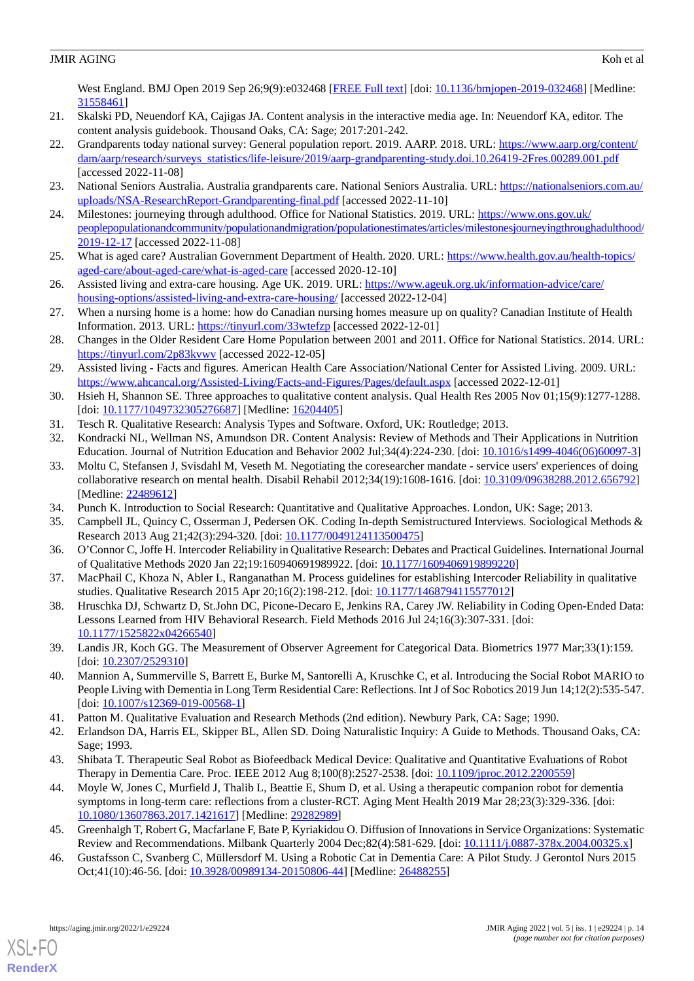West England. BMJ Open 2019 Sep 26;9(9):e032468 [[FREE Full text](https://bmjopen.bmj.com/lookup/pmidlookup?view=long&pmid=31558461)] [doi: [10.1136/bmjopen-2019-032468](http://dx.doi.org/10.1136/bmjopen-2019-032468)] [Medline: [31558461](http://www.ncbi.nlm.nih.gov/entrez/query.fcgi?cmd=Retrieve&db=PubMed&list_uids=31558461&dopt=Abstract)]

- <span id="page-13-1"></span><span id="page-13-0"></span>21. Skalski PD, Neuendorf KA, Cajigas JA. Content analysis in the interactive media age. In: Neuendorf KA, editor. The content analysis guidebook. Thousand Oaks, CA: Sage; 2017:201-242.
- 22. Grandparents today national survey: General population report. 2019. AARP. 2018. URL: [https://www.aarp.org/content/](https://www.aarp.org/content/dam/aarp/research/surveys_statistics/life-leisure/2019/aarp-grandparenting-study.doi.10.26419-2Fres.00289.001.pdf) [dam/aarp/research/surveys\\_statistics/life-leisure/2019/aarp-grandparenting-study.doi.10.26419-2Fres.00289.001.pdf](https://www.aarp.org/content/dam/aarp/research/surveys_statistics/life-leisure/2019/aarp-grandparenting-study.doi.10.26419-2Fres.00289.001.pdf) [accessed 2022-11-08]
- <span id="page-13-2"></span>23. National Seniors Australia. Australia grandparents care. National Seniors Australia. URL: [https://nationalseniors.com.au/](https://nationalseniors.com.au/uploads/NSA-ResearchReport-Grandparenting-final.pdf) [uploads/NSA-ResearchReport-Grandparenting-final.pdf](https://nationalseniors.com.au/uploads/NSA-ResearchReport-Grandparenting-final.pdf) [accessed 2022-11-10]
- <span id="page-13-3"></span>24. Milestones: journeying through adulthood. Office for National Statistics. 2019. URL: [https://www.ons.gov.uk/](https://www.ons.gov.uk/peoplepopulationandcommunity/populationandmigration/populationestimates/articles/milestonesjourneyingthroughadulthood/2019-12-17) [peoplepopulationandcommunity/populationandmigration/populationestimates/articles/milestonesjourneyingthroughadulthood/](https://www.ons.gov.uk/peoplepopulationandcommunity/populationandmigration/populationestimates/articles/milestonesjourneyingthroughadulthood/2019-12-17) [2019-12-17](https://www.ons.gov.uk/peoplepopulationandcommunity/populationandmigration/populationestimates/articles/milestonesjourneyingthroughadulthood/2019-12-17) [accessed 2022-11-08]
- 25. What is aged care? Australian Government Department of Health. 2020. URL: [https://www.health.gov.au/health-topics/](https://www.health.gov.au/health-topics/aged-care/about-aged-care/what-is-aged-care) [aged-care/about-aged-care/what-is-aged-care](https://www.health.gov.au/health-topics/aged-care/about-aged-care/what-is-aged-care) [accessed 2020-12-10]
- 26. Assisted living and extra-care housing. Age UK. 2019. URL: [https://www.ageuk.org.uk/information-advice/care/](https://www.ageuk.org.uk/information-advice/care/housing-options/assisted-living-and-extra-care-housing/) [housing-options/assisted-living-and-extra-care-housing/](https://www.ageuk.org.uk/information-advice/care/housing-options/assisted-living-and-extra-care-housing/) [accessed 2022-12-04]
- 27. When a nursing home is a home: how do Canadian nursing homes measure up on quality? Canadian Institute of Health Information. 2013. URL: <https://tinyurl.com/33wtefzp> [accessed 2022-12-01]
- <span id="page-13-4"></span>28. Changes in the Older Resident Care Home Population between 2001 and 2011. Office for National Statistics. 2014. URL: <https://tinyurl.com/2p83kvwv> [accessed 2022-12-05]
- <span id="page-13-5"></span>29. Assisted living - Facts and figures. American Health Care Association/National Center for Assisted Living. 2009. URL: <https://www.ahcancal.org/Assisted-Living/Facts-and-Figures/Pages/default.aspx> [accessed 2022-12-01]
- <span id="page-13-7"></span><span id="page-13-6"></span>30. Hsieh H, Shannon SE. Three approaches to qualitative content analysis. Qual Health Res 2005 Nov 01;15(9):1277-1288. [doi: [10.1177/1049732305276687](http://dx.doi.org/10.1177/1049732305276687)] [Medline: [16204405\]](http://www.ncbi.nlm.nih.gov/entrez/query.fcgi?cmd=Retrieve&db=PubMed&list_uids=16204405&dopt=Abstract)
- <span id="page-13-8"></span>31. Tesch R. Qualitative Research: Analysis Types and Software. Oxford, UK: Routledge; 2013.
- 32. Kondracki NL, Wellman NS, Amundson DR. Content Analysis: Review of Methods and Their Applications in Nutrition Education. Journal of Nutrition Education and Behavior 2002 Jul;34(4):224-230. [doi: [10.1016/s1499-4046\(06\)60097-3\]](http://dx.doi.org/10.1016/s1499-4046(06)60097-3)
- <span id="page-13-10"></span><span id="page-13-9"></span>33. Moltu C, Stefansen J, Svisdahl M, Veseth M. Negotiating the coresearcher mandate - service users' experiences of doing collaborative research on mental health. Disabil Rehabil 2012;34(19):1608-1616. [doi: [10.3109/09638288.2012.656792\]](http://dx.doi.org/10.3109/09638288.2012.656792) [Medline: [22489612](http://www.ncbi.nlm.nih.gov/entrez/query.fcgi?cmd=Retrieve&db=PubMed&list_uids=22489612&dopt=Abstract)]
- <span id="page-13-11"></span>34. Punch K. Introduction to Social Research: Quantitative and Qualitative Approaches. London, UK: Sage; 2013.
- 35. Campbell JL, Quincy C, Osserman J, Pedersen OK. Coding In-depth Semistructured Interviews. Sociological Methods & Research 2013 Aug 21;42(3):294-320. [doi: [10.1177/0049124113500475](http://dx.doi.org/10.1177/0049124113500475)]
- <span id="page-13-12"></span>36. O'Connor C, Joffe H. Intercoder Reliability in Qualitative Research: Debates and Practical Guidelines. International Journal of Qualitative Methods 2020 Jan 22;19:160940691989922. [doi: [10.1177/1609406919899220\]](http://dx.doi.org/10.1177/1609406919899220)
- <span id="page-13-13"></span>37. MacPhail C, Khoza N, Abler L, Ranganathan M. Process guidelines for establishing Intercoder Reliability in qualitative studies. Qualitative Research 2015 Apr 20;16(2):198-212. [doi: [10.1177/1468794115577012\]](http://dx.doi.org/10.1177/1468794115577012)
- <span id="page-13-14"></span>38. Hruschka DJ, Schwartz D, St.John DC, Picone-Decaro E, Jenkins RA, Carey JW. Reliability in Coding Open-Ended Data: Lessons Learned from HIV Behavioral Research. Field Methods 2016 Jul 24;16(3):307-331. [doi: [10.1177/1525822x04266540\]](http://dx.doi.org/10.1177/1525822x04266540)
- <span id="page-13-16"></span><span id="page-13-15"></span>39. Landis JR, Koch GG. The Measurement of Observer Agreement for Categorical Data. Biometrics 1977 Mar;33(1):159. [doi: [10.2307/2529310](http://dx.doi.org/10.2307/2529310)]
- <span id="page-13-17"></span>40. Mannion A, Summerville S, Barrett E, Burke M, Santorelli A, Kruschke C, et al. Introducing the Social Robot MARIO to People Living with Dementia in Long Term Residential Care: Reflections. Int J of Soc Robotics 2019 Jun 14;12(2):535-547. [doi: [10.1007/s12369-019-00568-1](http://dx.doi.org/10.1007/s12369-019-00568-1)]
- <span id="page-13-18"></span>41. Patton M. Qualitative Evaluation and Research Methods (2nd edition). Newbury Park, CA: Sage; 1990.
- 42. Erlandson DA, Harris EL, Skipper BL, Allen SD. Doing Naturalistic Inquiry: A Guide to Methods. Thousand Oaks, CA: Sage; 1993.
- <span id="page-13-20"></span><span id="page-13-19"></span>43. Shibata T. Therapeutic Seal Robot as Biofeedback Medical Device: Qualitative and Quantitative Evaluations of Robot Therapy in Dementia Care. Proc. IEEE 2012 Aug 8;100(8):2527-2538. [doi: [10.1109/jproc.2012.2200559](http://dx.doi.org/10.1109/jproc.2012.2200559)]
- 44. Moyle W, Jones C, Murfield J, Thalib L, Beattie E, Shum D, et al. Using a therapeutic companion robot for dementia symptoms in long-term care: reflections from a cluster-RCT. Aging Ment Health 2019 Mar 28;23(3):329-336. [doi: [10.1080/13607863.2017.1421617\]](http://dx.doi.org/10.1080/13607863.2017.1421617) [Medline: [29282989\]](http://www.ncbi.nlm.nih.gov/entrez/query.fcgi?cmd=Retrieve&db=PubMed&list_uids=29282989&dopt=Abstract)
- 45. Greenhalgh T, Robert G, Macfarlane F, Bate P, Kyriakidou O. Diffusion of Innovations in Service Organizations: Systematic Review and Recommendations. Milbank Quarterly 2004 Dec;82(4):581-629. [doi: [10.1111/j.0887-378x.2004.00325.x\]](http://dx.doi.org/10.1111/j.0887-378x.2004.00325.x)
- 46. Gustafsson C, Svanberg C, Müllersdorf M. Using a Robotic Cat in Dementia Care: A Pilot Study. J Gerontol Nurs 2015 Oct;41(10):46-56. [doi: [10.3928/00989134-20150806-44\]](http://dx.doi.org/10.3928/00989134-20150806-44) [Medline: [26488255\]](http://www.ncbi.nlm.nih.gov/entrez/query.fcgi?cmd=Retrieve&db=PubMed&list_uids=26488255&dopt=Abstract)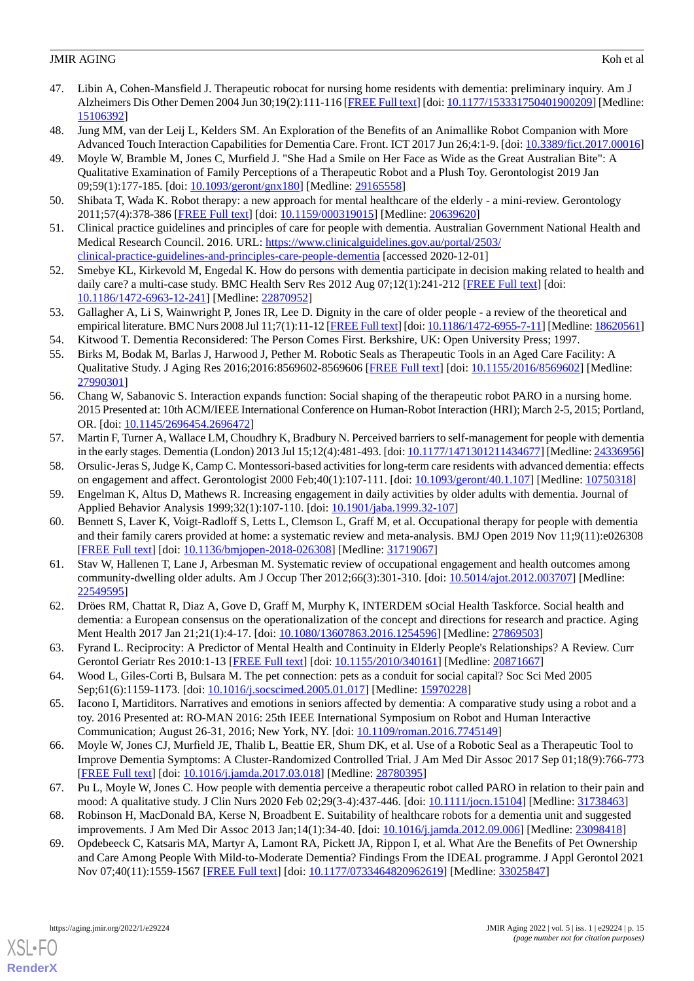- <span id="page-14-0"></span>47. Libin A, Cohen-Mansfield J. Therapeutic robocat for nursing home residents with dementia: preliminary inquiry. Am J Alzheimers Dis Other Demen 2004 Jun 30;19(2):111-116 [\[FREE Full text\]](https://journals.sagepub.com/doi/10.1177/153331750401900209?url_ver=Z39.88-2003&rfr_id=ori:rid:crossref.org&rfr_dat=cr_pub%3dpubmed) [doi: [10.1177/153331750401900209](http://dx.doi.org/10.1177/153331750401900209)] [Medline: [15106392](http://www.ncbi.nlm.nih.gov/entrez/query.fcgi?cmd=Retrieve&db=PubMed&list_uids=15106392&dopt=Abstract)]
- <span id="page-14-2"></span><span id="page-14-1"></span>48. Jung MM, van der Leij L, Kelders SM. An Exploration of the Benefits of an Animallike Robot Companion with More Advanced Touch Interaction Capabilities for Dementia Care. Front. ICT 2017 Jun 26;4:1-9. [doi: [10.3389/fict.2017.00016](http://dx.doi.org/10.3389/fict.2017.00016)]
- 49. Moyle W, Bramble M, Jones C, Murfield J. "She Had a Smile on Her Face as Wide as the Great Australian Bite": A Qualitative Examination of Family Perceptions of a Therapeutic Robot and a Plush Toy. Gerontologist 2019 Jan 09;59(1):177-185. [doi: [10.1093/geront/gnx180](http://dx.doi.org/10.1093/geront/gnx180)] [Medline: [29165558\]](http://www.ncbi.nlm.nih.gov/entrez/query.fcgi?cmd=Retrieve&db=PubMed&list_uids=29165558&dopt=Abstract)
- <span id="page-14-4"></span><span id="page-14-3"></span>50. Shibata T, Wada K. Robot therapy: a new approach for mental healthcare of the elderly - a mini-review. Gerontology 2011;57(4):378-386 [[FREE Full text](https://www.karger.com?DOI=10.1159/000319015)] [doi: [10.1159/000319015\]](http://dx.doi.org/10.1159/000319015) [Medline: [20639620\]](http://www.ncbi.nlm.nih.gov/entrez/query.fcgi?cmd=Retrieve&db=PubMed&list_uids=20639620&dopt=Abstract)
- <span id="page-14-5"></span>51. Clinical practice guidelines and principles of care for people with dementia. Australian Government National Health and Medical Research Council. 2016. URL: [https://www.clinicalguidelines.gov.au/portal/2503/](https://www.clinicalguidelines.gov.au/portal/2503/clinical-practice-guidelines-and-principles-care-people-dementia) [clinical-practice-guidelines-and-principles-care-people-dementia](https://www.clinicalguidelines.gov.au/portal/2503/clinical-practice-guidelines-and-principles-care-people-dementia) [accessed 2020-12-01]
- <span id="page-14-6"></span>52. Smebye KL, Kirkevold M, Engedal K. How do persons with dementia participate in decision making related to health and daily care? a multi-case study. BMC Health Serv Res 2012 Aug 07;12(1):241-212 [\[FREE Full text\]](https://bmchealthservres.biomedcentral.com/articles/10.1186/1472-6963-12-241) [doi: [10.1186/1472-6963-12-241\]](http://dx.doi.org/10.1186/1472-6963-12-241) [Medline: [22870952\]](http://www.ncbi.nlm.nih.gov/entrez/query.fcgi?cmd=Retrieve&db=PubMed&list_uids=22870952&dopt=Abstract)
- <span id="page-14-8"></span><span id="page-14-7"></span>53. Gallagher A, Li S, Wainwright P, Jones IR, Lee D. Dignity in the care of older people - a review of the theoretical and empirical literature. BMC Nurs 2008 Jul 11;7(1):11-12 [\[FREE Full text](https://bmcnurs.biomedcentral.com/articles/10.1186/1472-6955-7-11)] [doi: [10.1186/1472-6955-7-11\]](http://dx.doi.org/10.1186/1472-6955-7-11) [Medline: [18620561\]](http://www.ncbi.nlm.nih.gov/entrez/query.fcgi?cmd=Retrieve&db=PubMed&list_uids=18620561&dopt=Abstract)
- 54. Kitwood T. Dementia Reconsidered: The Person Comes First. Berkshire, UK: Open University Press; 1997.
- <span id="page-14-9"></span>55. Birks M, Bodak M, Barlas J, Harwood J, Pether M. Robotic Seals as Therapeutic Tools in an Aged Care Facility: A Qualitative Study. J Aging Res 2016;2016:8569602-8569606 [[FREE Full text](https://doi.org/10.1155/2016/8569602)] [doi: [10.1155/2016/8569602\]](http://dx.doi.org/10.1155/2016/8569602) [Medline: [27990301](http://www.ncbi.nlm.nih.gov/entrez/query.fcgi?cmd=Retrieve&db=PubMed&list_uids=27990301&dopt=Abstract)]
- <span id="page-14-10"></span>56. Chang W, Sabanovic S. Interaction expands function: Social shaping of the therapeutic robot PARO in a nursing home. 2015 Presented at: 10th ACM/IEEE International Conference on Human-Robot Interaction (HRI); March 2-5, 2015; Portland, OR. [doi: [10.1145/2696454.2696472\]](http://dx.doi.org/10.1145/2696454.2696472)
- <span id="page-14-11"></span>57. Martin F, Turner A, Wallace LM, Choudhry K, Bradbury N. Perceived barriers to self-management for people with dementia in the early stages. Dementia (London) 2013 Jul 15;12(4):481-493. [doi: [10.1177/1471301211434677\]](http://dx.doi.org/10.1177/1471301211434677) [Medline: [24336956\]](http://www.ncbi.nlm.nih.gov/entrez/query.fcgi?cmd=Retrieve&db=PubMed&list_uids=24336956&dopt=Abstract)
- 58. Orsulic-Jeras S, Judge K, Camp C. Montessori-based activities for long-term care residents with advanced dementia: effects on engagement and affect. Gerontologist 2000 Feb;40(1):107-111. [doi: [10.1093/geront/40.1.107\]](http://dx.doi.org/10.1093/geront/40.1.107) [Medline: [10750318\]](http://www.ncbi.nlm.nih.gov/entrez/query.fcgi?cmd=Retrieve&db=PubMed&list_uids=10750318&dopt=Abstract)
- 59. Engelman K, Altus D, Mathews R. Increasing engagement in daily activities by older adults with dementia. Journal of Applied Behavior Analysis 1999;32(1):107-110. [doi: [10.1901/jaba.1999.32-107\]](http://dx.doi.org/10.1901/jaba.1999.32-107)
- 60. Bennett S, Laver K, Voigt-Radloff S, Letts L, Clemson L, Graff M, et al. Occupational therapy for people with dementia and their family carers provided at home: a systematic review and meta-analysis. BMJ Open 2019 Nov 11;9(11):e026308 [[FREE Full text](https://bmjopen.bmj.com/lookup/pmidlookup?view=long&pmid=31719067)] [doi: [10.1136/bmjopen-2018-026308](http://dx.doi.org/10.1136/bmjopen-2018-026308)] [Medline: [31719067](http://www.ncbi.nlm.nih.gov/entrez/query.fcgi?cmd=Retrieve&db=PubMed&list_uids=31719067&dopt=Abstract)]
- <span id="page-14-13"></span><span id="page-14-12"></span>61. Stav W, Hallenen T, Lane J, Arbesman M. Systematic review of occupational engagement and health outcomes among community-dwelling older adults. Am J Occup Ther 2012;66(3):301-310. [doi: [10.5014/ajot.2012.003707\]](http://dx.doi.org/10.5014/ajot.2012.003707) [Medline: [22549595](http://www.ncbi.nlm.nih.gov/entrez/query.fcgi?cmd=Retrieve&db=PubMed&list_uids=22549595&dopt=Abstract)]
- <span id="page-14-14"></span>62. Dröes RM, Chattat R, Diaz A, Gove D, Graff M, Murphy K, INTERDEM sOcial Health Taskforce. Social health and dementia: a European consensus on the operationalization of the concept and directions for research and practice. Aging Ment Health 2017 Jan 21;21(1):4-17. [doi: [10.1080/13607863.2016.1254596\]](http://dx.doi.org/10.1080/13607863.2016.1254596) [Medline: [27869503\]](http://www.ncbi.nlm.nih.gov/entrez/query.fcgi?cmd=Retrieve&db=PubMed&list_uids=27869503&dopt=Abstract)
- <span id="page-14-15"></span>63. Fyrand L. Reciprocity: A Predictor of Mental Health and Continuity in Elderly People's Relationships? A Review. Curr Gerontol Geriatr Res 2010:1-13 [[FREE Full text](https://doi.org/10.1155/2010/340161)] [doi: [10.1155/2010/340161\]](http://dx.doi.org/10.1155/2010/340161) [Medline: [20871667](http://www.ncbi.nlm.nih.gov/entrez/query.fcgi?cmd=Retrieve&db=PubMed&list_uids=20871667&dopt=Abstract)]
- <span id="page-14-16"></span>64. Wood L, Giles-Corti B, Bulsara M. The pet connection: pets as a conduit for social capital? Soc Sci Med 2005 Sep;61(6):1159-1173. [doi: [10.1016/j.socscimed.2005.01.017](http://dx.doi.org/10.1016/j.socscimed.2005.01.017)] [Medline: [15970228\]](http://www.ncbi.nlm.nih.gov/entrez/query.fcgi?cmd=Retrieve&db=PubMed&list_uids=15970228&dopt=Abstract)
- <span id="page-14-17"></span>65. Iacono I, Martiditors. Narratives and emotions in seniors affected by dementia: A comparative study using a robot and a toy. 2016 Presented at: RO-MAN 2016: 25th IEEE International Symposium on Robot and Human Interactive Communication; August 26-31, 2016; New York, NY. [doi: [10.1109/roman.2016.7745149](http://dx.doi.org/10.1109/roman.2016.7745149)]
- <span id="page-14-19"></span><span id="page-14-18"></span>66. Moyle W, Jones CJ, Murfield JE, Thalib L, Beattie ER, Shum DK, et al. Use of a Robotic Seal as a Therapeutic Tool to Improve Dementia Symptoms: A Cluster-Randomized Controlled Trial. J Am Med Dir Assoc 2017 Sep 01;18(9):766-773 [[FREE Full text](https://linkinghub.elsevier.com/retrieve/pii/S1525-8610(17)30189-5)] [doi: [10.1016/j.jamda.2017.03.018\]](http://dx.doi.org/10.1016/j.jamda.2017.03.018) [Medline: [28780395\]](http://www.ncbi.nlm.nih.gov/entrez/query.fcgi?cmd=Retrieve&db=PubMed&list_uids=28780395&dopt=Abstract)
- 67. Pu L, Moyle W, Jones C. How people with dementia perceive a therapeutic robot called PARO in relation to their pain and mood: A qualitative study. J Clin Nurs 2020 Feb 02;29(3-4):437-446. [doi: [10.1111/jocn.15104\]](http://dx.doi.org/10.1111/jocn.15104) [Medline: [31738463\]](http://www.ncbi.nlm.nih.gov/entrez/query.fcgi?cmd=Retrieve&db=PubMed&list_uids=31738463&dopt=Abstract)
- 68. Robinson H, MacDonald BA, Kerse N, Broadbent E. Suitability of healthcare robots for a dementia unit and suggested improvements. J Am Med Dir Assoc 2013 Jan;14(1):34-40. [doi: [10.1016/j.jamda.2012.09.006](http://dx.doi.org/10.1016/j.jamda.2012.09.006)] [Medline: [23098418\]](http://www.ncbi.nlm.nih.gov/entrez/query.fcgi?cmd=Retrieve&db=PubMed&list_uids=23098418&dopt=Abstract)
- 69. Opdebeeck C, Katsaris MA, Martyr A, Lamont RA, Pickett JA, Rippon I, et al. What Are the Benefits of Pet Ownership and Care Among People With Mild-to-Moderate Dementia? Findings From the IDEAL programme. J Appl Gerontol 2021 Nov 07;40(11):1559-1567 [[FREE Full text\]](https://journals.sagepub.com/doi/10.1177/0733464820962619?url_ver=Z39.88-2003&rfr_id=ori:rid:crossref.org&rfr_dat=cr_pub%3dpubmed) [doi: [10.1177/0733464820962619](http://dx.doi.org/10.1177/0733464820962619)] [Medline: [33025847](http://www.ncbi.nlm.nih.gov/entrez/query.fcgi?cmd=Retrieve&db=PubMed&list_uids=33025847&dopt=Abstract)]